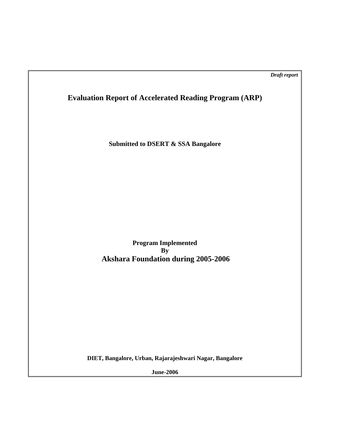*Draft report* 

**Evaluation Report of Accelerated Reading Program (ARP)** 

**Submitted to DSERT & SSA Bangalore** 

**Program Implemented By Akshara Foundation during 2005-2006** 

**DIET, Bangalore, Urban, Rajarajeshwari Nagar, Bangalore** 

**June-2006**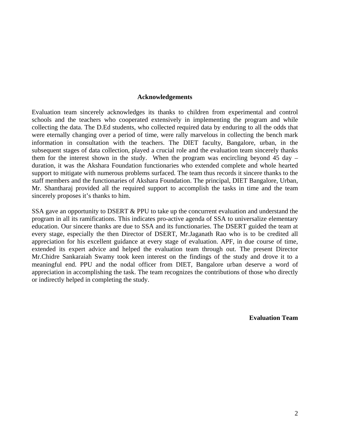#### **Acknowledgements**

Evaluation team sincerely acknowledges its thanks to children from experimental and control schools and the teachers who cooperated extensively in implementing the program and while collecting the data. The D.Ed students, who collected required data by enduring to all the odds that were eternally changing over a period of time, were rally marvelous in collecting the bench mark information in consultation with the teachers. The DIET faculty, Bangalore, urban, in the subsequent stages of data collection, played a crucial role and the evaluation team sincerely thanks them for the interest shown in the study. When the program was encircling beyond 45 day – duration, it was the Akshara Foundation functionaries who extended complete and whole hearted support to mitigate with numerous problems surfaced. The team thus records it sincere thanks to the staff members and the functionaries of Akshara Foundation. The principal, DIET Bangalore, Urban, Mr. Shantharaj provided all the required support to accomplish the tasks in time and the team sincerely proposes it's thanks to him.

SSA gave an opportunity to DSERT & PPU to take up the concurrent evaluation and understand the program in all its ramifications. This indicates pro-active agenda of SSA to universalize elementary education. Our sincere thanks are due to SSA and its functionaries. The DSERT guided the team at every stage, especially the then Director of DSERT, Mr.Jaganath Rao who is to be credited all appreciation for his excellent guidance at every stage of evaluation. APF, in due course of time, extended its expert advice and helped the evaluation team through out. The present Director Mr.Chidre Sankaraiah Swamy took keen interest on the findings of the study and drove it to a meaningful end. PPU and the nodal officer from DIET, Bangalore urban deserve a word of appreciation in accomplishing the task. The team recognizes the contributions of those who directly or indirectly helped in completing the study.

**Evaluation Team**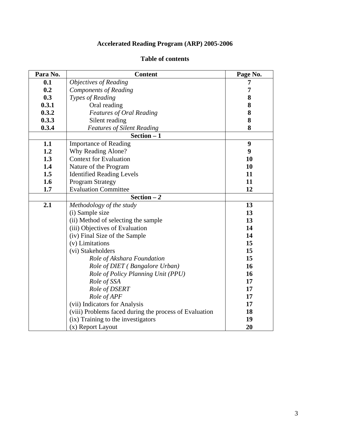# **Accelerated Reading Program (ARP) 2005-2006**

| Para No. | <b>Content</b>                                         | Page No. |
|----------|--------------------------------------------------------|----------|
| 0.1      | <b>Objectives of Reading</b>                           | 7        |
| 0.2      | <b>Components of Reading</b>                           | 7        |
| 0.3      | Types of Reading                                       | 8        |
| 0.3.1    | Oral reading                                           | 8        |
| 0.3.2    | <b>Features of Oral Reading</b>                        | 8        |
| 0.3.3    | Silent reading                                         | 8        |
| 0.3.4    | <b>Features of Silent Reading</b>                      | 8        |
|          | $Section - 1$                                          |          |
| 1.1      | <b>Importance of Reading</b>                           | 9        |
| 1.2      | Why Reading Alone?                                     | 9        |
| 1.3      | <b>Context for Evaluation</b>                          | 10       |
| 1.4      | Nature of the Program                                  | 10       |
| 1.5      | <b>Identified Reading Levels</b>                       | 11       |
| 1.6      | <b>Program Strategy</b>                                | 11       |
| 1.7      | <b>Evaluation Committee</b>                            | 12       |
|          | Section $-2$                                           |          |
| 2.1      | Methodology of the study                               | 13       |
|          | (i) Sample size                                        | 13       |
|          | (ii) Method of selecting the sample                    | 13       |
|          | (iii) Objectives of Evaluation                         | 14       |
|          | (iv) Final Size of the Sample                          | 14       |
|          | (v) Limitations                                        | 15       |
|          | (vi) Stakeholders                                      | 15       |
|          | Role of Akshara Foundation                             | 15       |
|          | Role of DIET (Bangalore Urban)                         | 16       |
|          | Role of Policy Planning Unit (PPU)                     | 16       |
|          | Role of SSA                                            | 17       |
|          | Role of DSERT                                          | 17       |
|          | Role of APF                                            | 17       |
|          | (vii) Indicators for Analysis                          | 17       |
|          | (viii) Problems faced during the process of Evaluation | 18       |
|          | (ix) Training to the investigators                     | 19       |
|          | (x) Report Layout                                      | 20       |

# **Table of contents**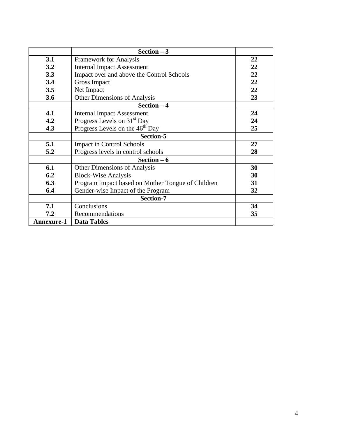|                   | Section $-3$                                      |    |  |  |  |  |
|-------------------|---------------------------------------------------|----|--|--|--|--|
| 3.1               | <b>Framework for Analysis</b>                     | 22 |  |  |  |  |
| 3.2               | <b>Internal Impact Assessment</b>                 | 22 |  |  |  |  |
| 3.3               | Impact over and above the Control Schools         | 22 |  |  |  |  |
| 3.4               | Gross Impact                                      | 22 |  |  |  |  |
| 3.5               | Net Impact                                        | 22 |  |  |  |  |
| 3.6               | Other Dimensions of Analysis                      | 23 |  |  |  |  |
|                   | Section $-4$                                      |    |  |  |  |  |
| 4.1               | <b>Internal Impact Assessment</b>                 | 24 |  |  |  |  |
| 4.2               | Progress Levels on 31 <sup>st</sup> Day           | 24 |  |  |  |  |
| 4.3               | Progress Levels on the 46 <sup>th</sup> Day       | 25 |  |  |  |  |
|                   | Section-5                                         |    |  |  |  |  |
| 5.1               | <b>Impact in Control Schools</b>                  | 27 |  |  |  |  |
| 5.2               | Progress levels in control schools                | 28 |  |  |  |  |
|                   | Section $-6$                                      |    |  |  |  |  |
| 6.1               | Other Dimensions of Analysis                      | 30 |  |  |  |  |
| 6.2               | <b>Block-Wise Analysis</b>                        | 30 |  |  |  |  |
| 6.3               | Program Impact based on Mother Tongue of Children | 31 |  |  |  |  |
| 6.4               | Gender-wise Impact of the Program                 | 32 |  |  |  |  |
|                   | Section-7                                         |    |  |  |  |  |
| 7.1               | Conclusions                                       | 34 |  |  |  |  |
| 7.2               | Recommendations                                   | 35 |  |  |  |  |
| <b>Annexure-1</b> | <b>Data Tables</b>                                |    |  |  |  |  |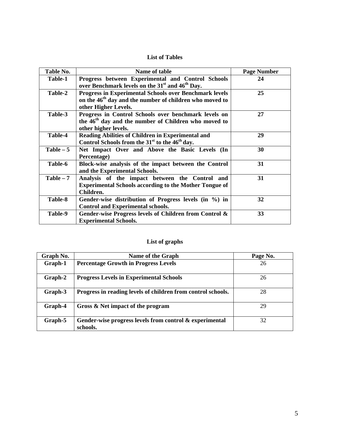## **List of Tables**

| Table No.   | Name of table                                                                                                                                                | <b>Page Number</b> |
|-------------|--------------------------------------------------------------------------------------------------------------------------------------------------------------|--------------------|
| Table-1     | Progress between Experimental and Control Schools<br>over Benchmark levels on the 31 <sup>st</sup> and 46 <sup>th</sup> Day.                                 | 24                 |
| Table-2     | <b>Progress in Experimental Schools over Benchmark levels</b><br>on the 46 <sup>th</sup> day and the number of children who moved to<br>other Higher Levels. | 25                 |
| Table-3     | Progress in Control Schools over benchmark levels on<br>the 46 <sup>th</sup> day and the number of Children who moved to<br>other higher levels.             | 27                 |
| Table-4     | Reading Abilities of Children in Experimental and<br>Control Schools from the 31 <sup>st</sup> to the 46 <sup>th</sup> day.                                  | 29                 |
| $Table - 5$ | Net Impact Over and Above the Basic Levels (In<br>Percentage)                                                                                                | 30                 |
| Table-6     | Block-wise analysis of the impact between the Control<br>and the Experimental Schools.                                                                       | 31                 |
| $Table - 7$ | Analysis of the impact between the Control and<br><b>Experimental Schools according to the Mother Tongue of</b><br>Children.                                 | 31                 |
| Table-8     | Gender-wise distribution of Progress levels (in %) in<br><b>Control and Experimental schools.</b>                                                            | 32                 |
| Table-9     | Gender-wise Progress levels of Children from Control &<br><b>Experimental Schools.</b>                                                                       | 33                 |

## **List of graphs**

| Graph No. | Name of the Graph                                                   | Page No. |
|-----------|---------------------------------------------------------------------|----------|
| Graph-1   | <b>Percentage Growth in Progress Levels</b>                         | 26       |
| Graph-2   | <b>Progress Levels in Experimental Schools</b>                      | 26       |
| Graph-3   | Progress in reading levels of children from control schools.        | 28       |
| Graph-4   | Gross & Net impact of the program                                   | 29       |
| Graph-5   | Gender-wise progress levels from control & experimental<br>schools. | 32       |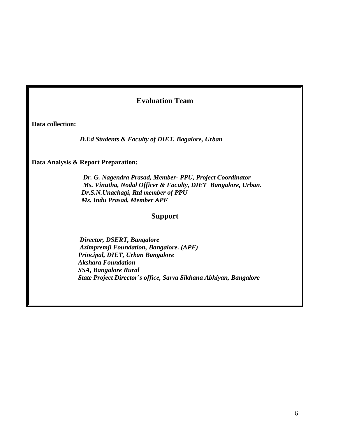# **Evaluation Team**

**Data collection:** 

*D.Ed Students & Faculty of DIET, Bagalore, Urban* 

**Data Analysis & Report Preparation:** 

*Dr. G. Nagendra Prasad, Member- PPU, Project Coordinator Ms. Vinutha, Nodal Officer & Faculty, DIET Bangalore, Urban. Dr.S.N.Unachagi, Rtd member of PPU Ms. Indu Prasad, Member APF* 

# **Support**

*Director, DSERT, Bangalore Azimpremji Foundation, Bangalore. (APF) Principal, DIET, Urban Bangalore Akshara Foundation SSA, Bangalore Rural State Project Director's office, Sarva Sikhana Abhiyan, Bangalore*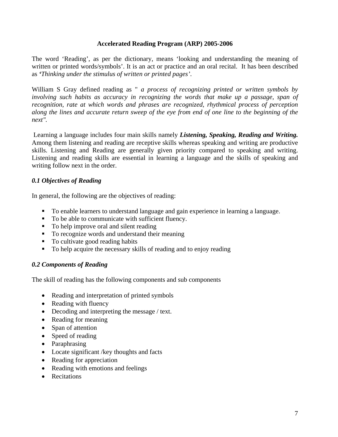## **Accelerated Reading Program (ARP) 2005-2006**

The word 'Reading', as per the dictionary, means 'looking and understanding the meaning of written or printed words/symbols'. It is an act or practice and an oral recital. It has been described as *'Thinking under the stimulus of written or printed pages'*.

William S Gray defined reading as " *a process of recognizing printed or written symbols by*  involving such habits as accuracy in recognizing the words that make up a passage, span of *recognition, rate at which words and phrases are recognized, rhythmical process of perception along the lines and accurate return sweep of the eye from end of one line to the beginning of the next".* 

Learning a language includes four main skills namely *Listening, Speaking, Reading and Writing.* Among them listening and reading are receptive skills whereas speaking and writing are productive skills. Listening and Reading are generally given priority compared to speaking and writing. Listening and reading skills are essential in learning a language and the skills of speaking and writing follow next in the order.

## *0.1 Objectives of Reading*

In general, the following are the objectives of reading:

- To enable learners to understand language and gain experience in learning a language.
- To be able to communicate with sufficient fluency.
- To help improve oral and silent reading
- To recognize words and understand their meaning
- To cultivate good reading habits
- $\blacksquare$  To help acquire the necessary skills of reading and to enjoy reading

#### *0.2 Components of Reading*

The skill of reading has the following components and sub components

- Reading and interpretation of printed symbols
- Reading with fluency
- Decoding and interpreting the message / text.
- Reading for meaning
- Span of attention
- Speed of reading
- Paraphrasing
- Locate significant /key thoughts and facts
- Reading for appreciation
- Reading with emotions and feelings
- Recitations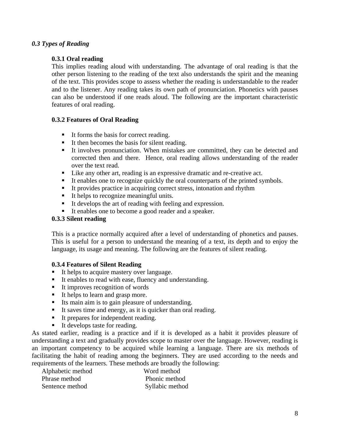## *0.3 Types of Reading*

## **0.3.1 Oral reading**

This implies reading aloud with understanding. The advantage of oral reading is that the other person listening to the reading of the text also understands the spirit and the meaning of the text. This provides scope to assess whether the reading is understandable to the reader and to the listener. Any reading takes its own path of pronunciation. Phonetics with pauses can also be understood if one reads aloud. The following are the important characteristic features of oral reading.

## **0.3.2 Features of Oral Reading**

- It forms the basis for correct reading.
- It then becomes the basis for silent reading.
- It involves pronunciation. When mistakes are committed, they can be detected and corrected then and there. Hence, oral reading allows understanding of the reader over the text read.
- Like any other art, reading is an expressive dramatic and re-creative act.
- It enables one to recognize quickly the oral counterparts of the printed symbols.
- It provides practice in acquiring correct stress, intonation and rhythm
- It helps to recognize meaningful units.
- It develops the art of reading with feeling and expression.
- It enables one to become a good reader and a speaker.

#### **0.3.3 Silent reading**

This is a practice normally acquired after a level of understanding of phonetics and pauses. This is useful for a person to understand the meaning of a text, its depth and to enjoy the language, its usage and meaning. The following are the features of silent reading.

#### **0.3.4 Features of Silent Reading**

- It helps to acquire mastery over language.
- It enables to read with ease, fluency and understanding.
- It improves recognition of words
- It helps to learn and grasp more.
- Its main aim is to gain pleasure of understanding.
- It saves time and energy, as it is quicker than oral reading.
- It prepares for independent reading.
- It develops taste for reading.

As stated earlier, reading is a practice and if it is developed as a habit it provides pleasure of understanding a text and gradually provides scope to master over the language. However, reading is an important competency to be acquired while learning a language. There are six methods of facilitating the habit of reading among the beginners. They are used according to the needs and requirements of the learners. These methods are broadly the following:

| Alphabetic method | Word method     |
|-------------------|-----------------|
| Phrase method     | Phonic method   |
| Sentence method   | Syllabic method |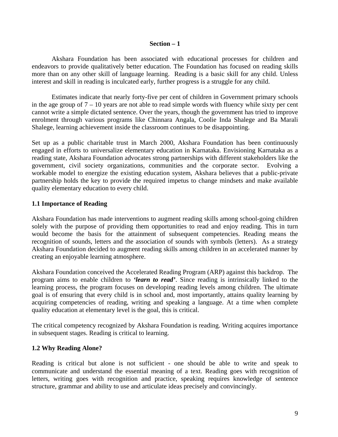#### **Section – 1**

Akshara Foundation has been associated with educational processes for children and endeavors to provide qualitatively better education. The Foundation has focused on reading skills more than on any other skill of language learning. Reading is a basic skill for any child. Unless interest and skill in reading is inculcated early, further progress is a struggle for any child.

Estimates indicate that nearly forty-five per cent of children in Government primary schools in the age group of  $7 - 10$  years are not able to read simple words with fluency while sixty per cent cannot write a simple dictated sentence. Over the years, though the government has tried to improve enrolment through various programs like Chinnara Angala, Coolie Inda Shalege and Ba Marali Shalege, learning achievement inside the classroom continues to be disappointing.

Set up as a public charitable trust in March 2000, Akshara Foundation has been continuously engaged in efforts to universalize elementary education in Karnataka. Envisioning Karnataka as a reading state, Akshara Foundation advocates strong partnerships with different stakeholders like the government, civil society organizations, communities and the corporate sector. Evolving a workable model to energize the existing education system, Akshara believes that a public-private partnership holds the key to provide the required impetus to change mindsets and make available quality elementary education to every child.

### **1.1 Importance of Reading**

Akshara Foundation has made interventions to augment reading skills among school-going children solely with the purpose of providing them opportunities to read and enjoy reading. This in turn would become the basis for the attainment of subsequent competencies. Reading means the recognition of sounds, letters and the association of sounds with symbols (letters). As a strategy Akshara Foundation decided to augment reading skills among children in an accelerated manner by creating an enjoyable learning atmosphere.

Akshara Foundation conceived the Accelerated Reading Program (ARP) against this backdrop. The program aims to enable children to *'learn to read'*. Since reading is intrinsically linked to the learning process, the program focuses on developing reading levels among children. The ultimate goal is of ensuring that every child is in school and, most importantly, attains quality learning by acquiring competencies of reading, writing and speaking a language. At a time when complete quality education at elementary level is the goal, this is critical.

The critical competency recognized by Akshara Foundation is reading. Writing acquires importance in subsequent stages. Reading is critical to learning.

#### **1.2 Why Reading Alone?**

Reading is critical but alone is not sufficient - one should be able to write and speak to communicate and understand the essential meaning of a text. Reading goes with recognition of letters, writing goes with recognition and practice, speaking requires knowledge of sentence structure, grammar and ability to use and articulate ideas precisely and convincingly.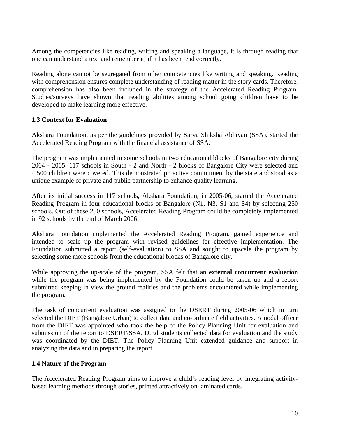Among the competencies like reading, writing and speaking a language, it is through reading that one can understand a text and remember it, if it has been read correctly.

Reading alone cannot be segregated from other competencies like writing and speaking. Reading with comprehension ensures complete understanding of reading matter in the story cards. Therefore, comprehension has also been included in the strategy of the Accelerated Reading Program. Studies/surveys have shown that reading abilities among school going children have to be developed to make learning more effective.

## **1.3 Context for Evaluation**

Akshara Foundation, as per the guidelines provided by Sarva Shiksha Abhiyan (SSA), started the Accelerated Reading Program with the financial assistance of SSA.

The program was implemented in some schools in two educational blocks of Bangalore city during 2004 - 2005. 117 schools in South - 2 and North - 2 blocks of Bangalore City were selected and 4,500 children were covered. This demonstrated proactive commitment by the state and stood as a unique example of private and public partnership to enhance quality learning.

After its initial success in 117 schools, Akshara Foundation, in 2005-06, started the Accelerated Reading Program in four educational blocks of Bangalore (N1, N3, S1 and S4) by selecting 250 schools. Out of these 250 schools, Accelerated Reading Program could be completely implemented in 92 schools by the end of March 2006.

Akshara Foundation implemented the Accelerated Reading Program, gained experience and intended to scale up the program with revised guidelines for effective implementation. The Foundation submitted a report (self-evaluation) to SSA and sought to upscale the program by selecting some more schools from the educational blocks of Bangalore city.

While approving the up-scale of the program, SSA felt that an **external concurrent evaluation** while the program was being implemented by the Foundation could be taken up and a report submitted keeping in view the ground realities and the problems encountered while implementing the program.

The task of concurrent evaluation was assigned to the DSERT during 2005-06 which in turn selected the DIET (Bangalore Urban) to collect data and co-ordinate field activities. A nodal officer from the DIET was appointed who took the help of the Policy Planning Unit for evaluation and submission of the report to DSERT/SSA. D.Ed students collected data for evaluation and the study was coordinated by the DIET. The Policy Planning Unit extended guidance and support in analyzing the data and in preparing the report.

## **1.4 Nature of the Program**

The Accelerated Reading Program aims to improve a child's reading level by integrating activitybased learning methods through stories, printed attractively on laminated cards.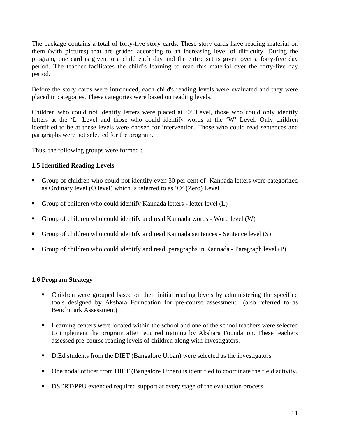The package contains a total of forty-five story cards. These story cards have reading material on them (with pictures) that are graded according to an increasing level of difficulty. During the program, one card is given to a child each day and the entire set is given over a forty-five day period. The teacher facilitates the child's learning to read this material over the forty-five day period.

Before the story cards were introduced, each child's reading levels were evaluated and they were placed in categories. These categories were based on reading levels.

Children who could not identify letters were placed at '0' Level, those who could only identify letters at the 'L' Level and those who could identify words at the 'W' Level. Only children identified to be at these levels were chosen for intervention. Those who could read sentences and paragraphs were not selected for the program.

Thus, the following groups were formed :

## **1.5 Identified Reading Levels**

- Group of children who could not identify even 30 per cent of Kannada letters were categorized as Ordinary level (O level) which is referred to as 'O' (Zero) Level
- Group of children who could identify Kannada letters letter level  $(L)$
- Group of children who could identify and read Kannada words Word level (W)
- Group of children who could identify and read Kannada sentences Sentence level (S)
- Group of children who could identify and read paragraphs in Kannada Paragraph level (P)

## **1.6 Program Strategy**

- Children were grouped based on their initial reading levels by administering the specified tools designed by Akshara Foundation for pre-course assessment (also referred to as Benchmark Assessment)
- **Example 2** Learning centers were located within the school and one of the school teachers were selected to implement the program after required training by Akshara Foundation. These teachers assessed pre-course reading levels of children along with investigators.
- D.Ed students from the DIET (Bangalore Urban) were selected as the investigators.
- One nodal officer from DIET (Bangalore Urban) is identified to coordinate the field activity.
- **DSERT/PPU** extended required support at every stage of the evaluation process.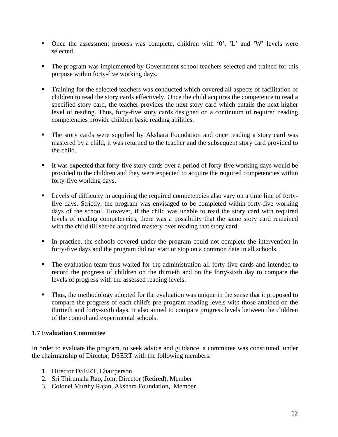- Once the assessment process was complete, children with '0', 'L' and 'W' levels were selected.
- The program was implemented by Government school teachers selected and trained for this purpose within forty-five working days.
- **Training for the selected teachers was conducted which covered all aspects of facilitation of** children to read the story cards effectively. Once the child acquires the competence to read a specified story card, the teacher provides the next story card which entails the next higher level of reading. Thus, forty-five story cards designed on a continuum of required reading competencies provide children basic reading abilities.
- The story cards were supplied by Akshara Foundation and once reading a story card was mastered by a child, it was returned to the teacher and the subsequent story card provided to the child.
- It was expected that forty-five story cards over a period of forty-five working days would be provided to the children and they were expected to acquire the required competencies within forty-five working days.
- **Example 1** Levels of difficulty in acquiring the required competencies also vary on a time line of fortyfive days. Strictly, the program was envisaged to be completed within forty-five working days of the school. However, if the child was unable to read the story card with required levels of reading competencies, there was a possibility that the same story card remained with the child till she/he acquired mastery over reading that story card.
- In practice, the schools covered under the program could not complete the intervention in forty-five days and the program did not start or stop on a common date in all schools.
- The evaluation team thus waited for the administration all forty-five cards and intended to record the progress of children on the thirtieth and on the forty-sixth day to compare the levels of progress with the assessed reading levels.
- Thus, the methodology adopted for the evaluation was unique in the sense that it proposed to compare the progress of each child's pre-program reading levels with those attained on the thirtieth and forty-sixth days. It also aimed to compare progress levels between the children of the control and experimental schools.

## **1.7** E**valuation Committee**

In order to evaluate the program, to seek advice and guidance, a committee was constituted, under the chairmanship of Director, DSERT with the following members:

- 1. Director DSERT, Chairperson
- 2. Sri Thirumala Rao, Joint Director (Retired), Member
- 3. Colonel Murthy Rajan, Akshara Foundation, Member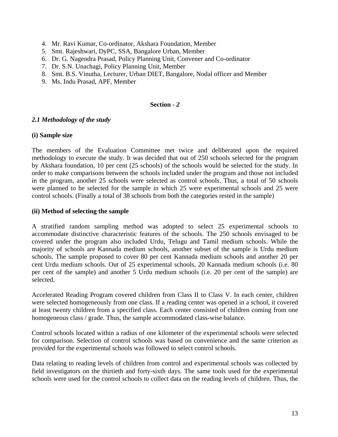- 4. Mr. Ravi Kumar, Co-ordinator, Akshara Foundation, Member
- 5. Smt. Rajeshwari, DyPC, SSA, Bangalore Urban, Member
- 6. Dr. G. Nagendra Prasad, Policy Planning Unit, Convener and Co-ordinator
- 7. Dr. S.N. Unachagi, Policy Planning Unit, Member
- 8. Smt. B.S. Vinutha, Lecturer, Urban DIET, Bangalore, Nodal officer and Member
- 9. Ms. Indu Prasad, APF, Member

#### **Section** *- 2*

#### *2.1 Methodology of the study*

#### **(i) Sample size**

The members of the Evaluation Committee met twice and deliberated upon the required methodology to execute the study. It was decided that out of 250 schools selected for the program by Akshara foundation, 10 per cent (25 schools) of the schools would be selected for the study. In order to make comparisons between the schools included under the program and those not included in the program, another 25 schools were selected as control schools. Thus, a total of 50 schools were planned to be selected for the sample in which 25 were experimental schools and 25 were control schools. (Finally a total of 38 schools from both the categories rested in the sample)

#### **(ii) Method of selecting the sample**

A stratified random sampling method was adopted to select 25 experimental schools to accommodate distinctive characteristic features of the schools. The 250 schools envisaged to be covered under the program also included Urdu, Telugu and Tamil medium schools. While the majority of schools are Kannada medium schools, another subset of the sample is Urdu medium schools. The sample proposed to cover 80 per cent Kannada medium schools and another 20 per cent Urdu medium schools. Out of 25 experimental schools, 20 Kannada medium schools (i.e. 80 per cent of the sample) and another 5 Urdu medium schools (i.e. 20 per cent of the sample) are selected.

Accelerated Reading Program covered children from Class II to Class V. In each center, children were selected homogeneously from one class. If a reading center was opened in a school, it covered at least twenty children from a specified class. Each center consisted of children coming from one homogeneous class / grade. Thus, the sample accommodated class-wise balance.

Control schools located within a radius of one kilometer of the experimental schools were selected for comparison. Selection of control schools was based on convenience and the same criterion as provided for the experimental schools was followed to select control schools.

Data relating to reading levels of children from control and experimental schools was collected by field investigators on the thirtieth and forty-sixth days. The same tools used for the experimental schools were used for the control schools to collect data on the reading levels of children. Thus, the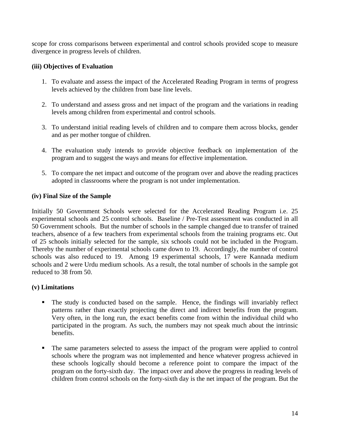scope for cross comparisons between experimental and control schools provided scope to measure divergence in progress levels of children.

## **(iii) Objectives of Evaluation**

- 1. To evaluate and assess the impact of the Accelerated Reading Program in terms of progress levels achieved by the children from base line levels.
- 2. To understand and assess gross and net impact of the program and the variations in reading levels among children from experimental and control schools.
- 3. To understand initial reading levels of children and to compare them across blocks, gender and as per mother tongue of children.
- 4. The evaluation study intends to provide objective feedback on implementation of the program and to suggest the ways and means for effective implementation.
- 5. To compare the net impact and outcome of the program over and above the reading practices adopted in classrooms where the program is not under implementation.

## **(iv) Final Size of the Sample**

Initially 50 Government Schools were selected for the Accelerated Reading Program i.e. 25 experimental schools and 25 control schools. Baseline / Pre-Test assessment was conducted in all 50 Government schools. But the number of schools in the sample changed due to transfer of trained teachers, absence of a few teachers from experimental schools from the training programs etc. Out of 25 schools initially selected for the sample, six schools could not be included in the Program. Thereby the number of experimental schools came down to 19. Accordingly, the number of control schools was also reduced to 19. Among 19 experimental schools, 17 were Kannada medium schools and 2 were Urdu medium schools. As a result, the total number of schools in the sample got reduced to 38 from 50.

## **(v) Limitations**

- The study is conducted based on the sample. Hence, the findings will invariably reflect patterns rather than exactly projecting the direct and indirect benefits from the program. Very often, in the long run, the exact benefits come from within the individual child who participated in the program. As such, the numbers may not speak much about the intrinsic benefits.
- The same parameters selected to assess the impact of the program were applied to control schools where the program was not implemented and hence whatever progress achieved in these schools logically should become a reference point to compare the impact of the program on the forty-sixth day. The impact over and above the progress in reading levels of children from control schools on the forty-sixth day is the net impact of the program. But the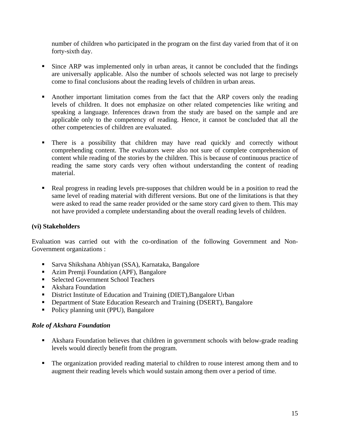number of children who participated in the program on the first day varied from that of it on forty-sixth day.

- Since ARP was implemented only in urban areas, it cannot be concluded that the findings are universally applicable. Also the number of schools selected was not large to precisely come to final conclusions about the reading levels of children in urban areas.
- Another important limitation comes from the fact that the ARP covers only the reading levels of children. It does not emphasize on other related competencies like writing and speaking a language. Inferences drawn from the study are based on the sample and are applicable only to the competency of reading. Hence, it cannot be concluded that all the other competencies of children are evaluated.
- **There is a possibility that children may have read quickly and correctly without** comprehending content. The evaluators were also not sure of complete comprehension of content while reading of the stories by the children. This is because of continuous practice of reading the same story cards very often without understanding the content of reading material.
- Real progress in reading levels pre-supposes that children would be in a position to read the same level of reading material with different versions. But one of the limitations is that they were asked to read the same reader provided or the same story card given to them. This may not have provided a complete understanding about the overall reading levels of children.

## **(vi) Stakeholders**

Evaluation was carried out with the co-ordination of the following Government and Non-Government organizations :

- Sarva Shikshana Abhiyan (SSA), Karnataka, Bangalore
- Azim Premji Foundation (APF), Bangalore
- Selected Government School Teachers
- **Akshara Foundation**
- District Institute of Education and Training (DIET), Bangalore Urban
- **•** Department of State Education Research and Training (DSERT), Bangalore
- Policy planning unit (PPU), Bangalore

## *Role of Akshara Foundation*

- Akshara Foundation believes that children in government schools with below-grade reading levels would directly benefit from the program.
- The organization provided reading material to children to rouse interest among them and to augment their reading levels which would sustain among them over a period of time.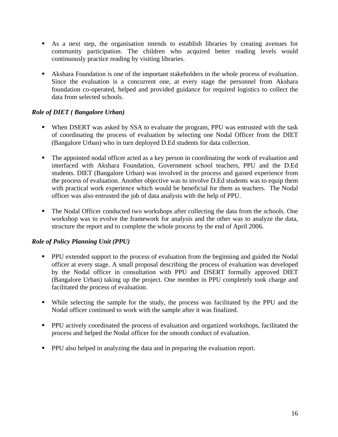- As a next step, the organisation intends to establish libraries by creating avenues for community participation. The children who acquired better reading levels would continuously practice reading by visiting libraries.
- Akshara Foundation is one of the important stakeholders in the whole process of evaluation. Since the evaluation is a concurrent one, at every stage the personnel from Akshara foundation co-operated, helped and provided guidance for required logistics to collect the data from selected schools.

## *Role of DIET ( Bangalore Urban)*

- When DSERT was asked by SSA to evaluate the program, PPU was entrusted with the task of coordinating the process of evaluation by selecting one Nodal Officer from the DIET (Bangalore Urban) who in turn deployed D.Ed students for data collection.
- The appointed nodal officer acted as a key person in coordinating the work of evaluation and interfaced with Akshara Foundation, Government school teachers, PPU and the D.Ed students. DIET (Bangalore Urban) was involved in the process and gained experience from the process of evaluation. Another objective was to involve D.Ed students was to equip them with practical work experience which would be beneficial for them as teachers. The Nodal officer was also entrusted the job of data analysis with the help of PPU.
- The Nodal Officer conducted two workshops after collecting the data from the schools. One workshop was to evolve the framework for analysis and the other was to analyze the data, structure the report and to complete the whole process by the end of April 2006.

## *Role of Policy Planning Unit (PPU)*

- PPU extended support to the process of evaluation from the beginning and guided the Nodal officer at every stage. A small proposal describing the process of evaluation was developed by the Nodal officer in consultation with PPU and DSERT formally approved DIET (Bangalore Urban) taking up the project. One member in PPU completely took charge and facilitated the process of evaluation.
- While selecting the sample for the study, the process was facilitated by the PPU and the Nodal officer continued to work with the sample after it was finalized.
- **PPU** actively coordinated the process of evaluation and organized workshops, facilitated the process and helped the Nodal officer for the smooth conduct of evaluation.
- **PPU** also helped in analyzing the data and in preparing the evaluation report.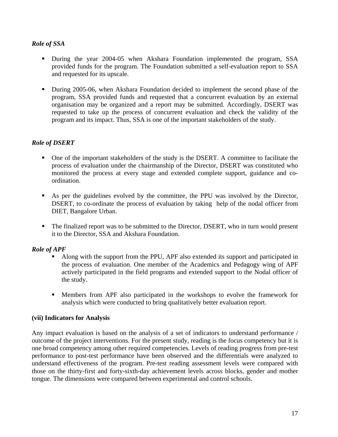## *Role of SSA*

- During the year 2004-05 when Akshara Foundation implemented the program, SSA provided funds for the program. The Foundation submitted a self-evaluation report to SSA and requested for its upscale.
- During 2005-06, when Akshara Foundation decided to implement the second phase of the program, SSA provided funds and requested that a concurrent evaluation by an external organisation may be organized and a report may be submitted. Accordingly, DSERT was requested to take up the process of concurrent evaluation and check the validity of the program and its impact. Thus, SSA is one of the important stakeholders of the study.

## *Role of DSERT*

- One of the important stakeholders of the study is the DSERT. A committee to facilitate the process of evaluation under the chairmanship of the Director, DSERT was constituted who monitored the process at every stage and extended complete support, guidance and coordination.
- As per the guidelines evolved by the committee, the PPU was involved by the Director, DSERT, to co-ordinate the process of evaluation by taking help of the nodal officer from DIET, Bangalore Urban.
- The finalized report was to be submitted to the Director, DSERT, who in turn would present it to the Director, SSA and Akshara Foundation.

## *Role of APF*

- Along with the support from the PPU, APF also extended its support and participated in the process of evaluation. One member of the Academics and Pedagogy wing of APF actively participated in the field programs and extended support to the Nodal officer of the study.
- Members from APF also participated in the workshops to evolve the framework for analysis which were conducted to bring qualitatively better evaluation report.

## **(vii) Indicators for Analysis**

Any impact evaluation is based on the analysis of a set of indicators to understand performance / outcome of the project interventions. For the present study, reading is the focus competency but it is one broad competency among other required competencies. Levels of reading progress from pre-test performance to post-test performance have been observed and the differentials were analyzed to understand effectiveness of the program. Pre-test reading assessment levels were compared with those on the thirty-first and forty-sixth-day achievement levels across blocks, gender and mother tongue. The dimensions were compared between experimental and control schools.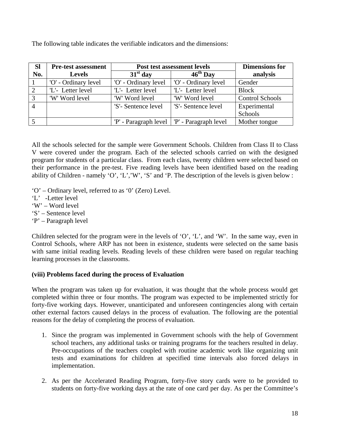The following table indicates the verifiable indicators and the dimensions:

| <b>SI</b>      | <b>Pre-test assessment</b> | Post test assessment levels                   |                      | <b>Dimensions for</b>  |
|----------------|----------------------------|-----------------------------------------------|----------------------|------------------------|
| No.            | <b>Levels</b>              | $31st$ day                                    | $46^{\text{th}}$ Day | analysis               |
|                | 'O' - Ordinary level       | 'O' - Ordinary level                          | 'O' - Ordinary level | Gender                 |
| 2              | 'L'- Letter level          | 'L'- Letter level                             | 'L'- Letter level    | <b>Block</b>           |
| 3              | 'W' Word level             | 'W' Word level                                | 'W' Word level       | <b>Control Schools</b> |
| $\overline{4}$ |                            | 'S'- Sentence level                           | 'S'- Sentence level  | Experimental           |
|                |                            |                                               |                      | Schools                |
|                |                            | 'P' - Paragraph level   'P' - Paragraph level |                      | Mother tongue          |

All the schools selected for the sample were Government Schools. Children from Class II to Class V were covered under the program. Each of the selected schools carried on with the designed program for students of a particular class. From each class, twenty children were selected based on their performance in the pre-test. Five reading levels have been identified based on the reading ability of Children - namely 'O', 'L','W', 'S' and 'P. The description of the levels is given below :

- 'O' Ordinary level, referred to as '0' (Zero) Level.
- 'L' -Letter level
- 'W' Word level
- 'S' Sentence level
- 'P' Paragraph level

Children selected for the program were in the levels of 'O', 'L', and 'W'. In the same way, even in Control Schools, where ARP has not been in existence, students were selected on the same basis with same initial reading levels. Reading levels of these children were based on regular teaching learning processes in the classrooms.

## **(viii) Problems faced during the process of Evaluation**

When the program was taken up for evaluation, it was thought that the whole process would get completed within three or four months. The program was expected to be implemented strictly for forty-five working days. However, unanticipated and unforeseen contingencies along with certain other external factors caused delays in the process of evaluation. The following are the potential reasons for the delay of completing the process of evaluation.

- 1. Since the program was implemented in Government schools with the help of Government school teachers, any additional tasks or training programs for the teachers resulted in delay. Pre-occupations of the teachers coupled with routine academic work like organizing unit tests and examinations for children at specified time intervals also forced delays in implementation.
- 2. As per the Accelerated Reading Program, forty-five story cards were to be provided to students on forty-five working days at the rate of one card per day. As per the Committee's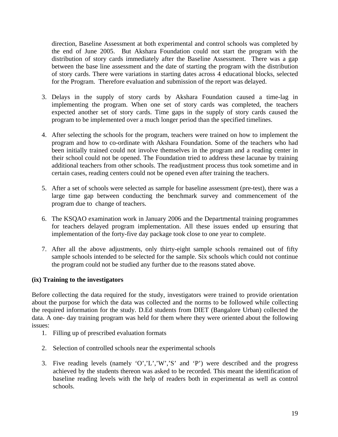direction, Baseline Assessment at both experimental and control schools was completed by the end of June 2005. But Akshara Foundation could not start the program with the distribution of story cards immediately after the Baseline Assessment. There was a gap between the base line assessment and the date of starting the program with the distribution of story cards. There were variations in starting dates across 4 educational blocks, selected for the Program. Therefore evaluation and submission of the report was delayed.

- 3. Delays in the supply of story cards by Akshara Foundation caused a time-lag in implementing the program. When one set of story cards was completed, the teachers expected another set of story cards. Time gaps in the supply of story cards caused the program to be implemented over a much longer period than the specified timelines.
- 4. After selecting the schools for the program, teachers were trained on how to implement the program and how to co-ordinate with Akshara Foundation. Some of the teachers who had been initially trained could not involve themselves in the program and a reading center in their school could not be opened. The Foundation tried to address these lacunae by training additional teachers from other schools. The readjustment process thus took sometime and in certain cases, reading centers could not be opened even after training the teachers.
- 5. After a set of schools were selected as sample for baseline assessment (pre-test), there was a large time gap between conducting the benchmark survey and commencement of the program due to change of teachers.
- 6. The KSQAO examination work in January 2006 and the Departmental training programmes for teachers delayed program implementation. All these issues ended up ensuring that implementation of the forty-five day package took close to one year to complete.
- 7. After all the above adjustments, only thirty-eight sample schools remained out of fifty sample schools intended to be selected for the sample. Six schools which could not continue the program could not be studied any further due to the reasons stated above.

## **(ix) Training to the investigators**

Before collecting the data required for the study, investigators were trained to provide orientation about the purpose for which the data was collected and the norms to be followed while collecting the required information for the study. D.Ed students from DIET (Bangalore Urban) collected the data. A one- day training program was held for them where they were oriented about the following issues:

- 1. Filling up of prescribed evaluation formats
- 2. Selection of controlled schools near the experimental schools
- 3. Five reading levels (namely 'O','L','W','S' and 'P') were described and the progress achieved by the students thereon was asked to be recorded. This meant the identification of baseline reading levels with the help of readers both in experimental as well as control schools.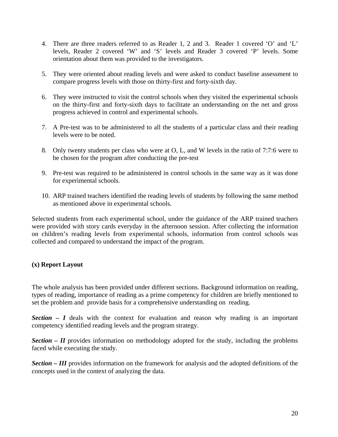- 4. There are three readers referred to as Reader 1, 2 and 3. Reader 1 covered 'O' and 'L' levels, Reader 2 covered 'W' and 'S' levels and Reader 3 covered 'P' levels. Some orientation about them was provided to the investigators.
- 5. They were oriented about reading levels and were asked to conduct baseline assessment to compare progress levels with those on thirty-first and forty-sixth day.
- 6. They were instructed to visit the control schools when they visited the experimental schools on the thirty-first and forty-sixth days to facilitate an understanding on the net and gross progress achieved in control and experimental schools.
- 7. A Pre-test was to be administered to all the students of a particular class and their reading levels were to be noted.
- 8. Only twenty students per class who were at O, L, and W levels in the ratio of 7:7:6 were to be chosen for the program after conducting the pre-test
- 9. Pre-test was required to be administered in control schools in the same way as it was done for experimental schools.
- 10. ARP trained teachers identified the reading levels of students by following the same method as mentioned above in experimental schools.

Selected students from each experimental school, under the guidance of the ARP trained teachers were provided with story cards everyday in the afternoon session. After collecting the information on children's reading levels from experimental schools, information from control schools was collected and compared to understand the impact of the program.

## **(x) Report Layout**

The whole analysis has been provided under different sections. Background information on reading, types of reading, importance of reading as a prime competency for children are briefly mentioned to set the problem and provide basis for a comprehensive understanding on reading.

*Section – I* deals with the context for evaluation and reason why reading is an important competency identified reading levels and the program strategy.

**Section – II** provides information on methodology adopted for the study, including the problems faced while executing the study.

*Section – III* provides information on the framework for analysis and the adopted definitions of the concepts used in the context of analyzing the data.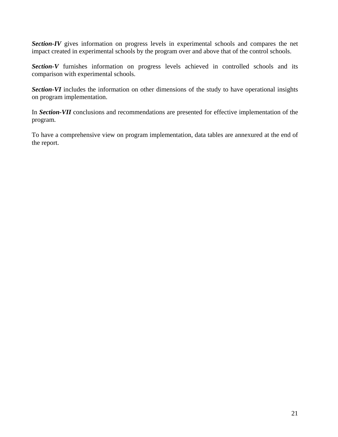**Section-IV** gives information on progress levels in experimental schools and compares the net impact created in experimental schools by the program over and above that of the control schools.

**Section-V** furnishes information on progress levels achieved in controlled schools and its comparison with experimental schools.

*Section-VI* includes the information on other dimensions of the study to have operational insights on program implementation.

In *Section-VII* conclusions and recommendations are presented for effective implementation of the program.

To have a comprehensive view on program implementation, data tables are annexured at the end of the report.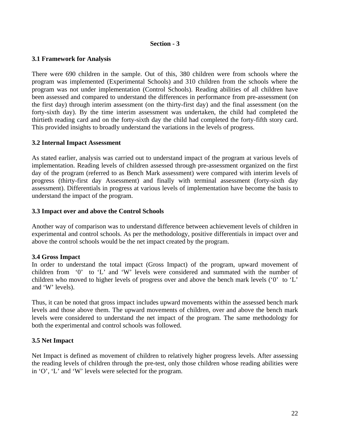#### **Section - 3**

### **3.1 Framework for Analysis**

There were 690 children in the sample. Out of this, 380 children were from schools where the program was implemented (Experimental Schools) and 310 children from the schools where the program was not under implementation (Control Schools). Reading abilities of all children have been assessed and compared to understand the differences in performance from pre-assessment (on the first day) through interim assessment (on the thirty-first day) and the final assessment (on the forty-sixth day). By the time interim assessment was undertaken, the child had completed the thirtieth reading card and on the forty-sixth day the child had completed the forty-fifth story card. This provided insights to broadly understand the variations in the levels of progress.

### **3.2 Internal Impact Assessment**

As stated earlier, analysis was carried out to understand impact of the program at various levels of implementation. Reading levels of children assessed through pre-assessment organized on the first day of the program (referred to as Bench Mark assessment) were compared with interim levels of progress (thirty-first day Assessment) and finally with terminal assessment (forty-sixth day assessment). Differentials in progress at various levels of implementation have become the basis to understand the impact of the program.

### **3.3 Impact over and above the Control Schools**

Another way of comparison was to understand difference between achievement levels of children in experimental and control schools. As per the methodology, positive differentials in impact over and above the control schools would be the net impact created by the program.

#### **3.4 Gross Impact**

In order to understand the total impact (Gross Impact) of the program, upward movement of children from '0' to 'L' and 'W' levels were considered and summated with the number of children who moved to higher levels of progress over and above the bench mark levels ('0' to 'L' and 'W' levels).

Thus, it can be noted that gross impact includes upward movements within the assessed bench mark levels and those above them. The upward movements of children, over and above the bench mark levels were considered to understand the net impact of the program. The same methodology for both the experimental and control schools was followed.

## **3.5 Net Impact**

Net Impact is defined as movement of children to relatively higher progress levels. After assessing the reading levels of children through the pre-test, only those children whose reading abilities were in 'O', 'L' and 'W' levels were selected for the program.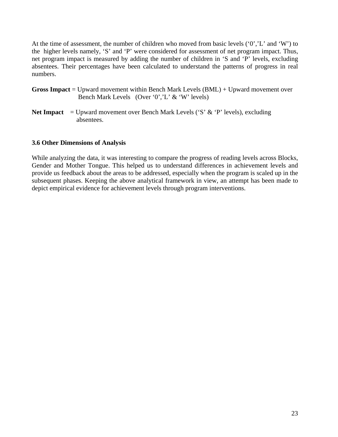At the time of assessment, the number of children who moved from basic levels  $(0', L'$  and  $W'$ ) to the higher levels namely, 'S' and 'P' were considered for assessment of net program impact. Thus, net program impact is measured by adding the number of children in 'S and 'P' levels, excluding absentees. Their percentages have been calculated to understand the patterns of progress in real numbers.

- **Gross Impact** = Upward movement within Bench Mark Levels (BML) + Upward movement over Bench Mark Levels (Over '0','L' & 'W' levels)
- **Net Impact** = Upward movement over Bench Mark Levels ('S'  $\&$  'P' levels), excluding absentees.

### **3.6 Other Dimensions of Analysis**

While analyzing the data, it was interesting to compare the progress of reading levels across Blocks, Gender and Mother Tongue. This helped us to understand differences in achievement levels and provide us feedback about the areas to be addressed, especially when the program is scaled up in the subsequent phases. Keeping the above analytical framework in view, an attempt has been made to depict empirical evidence for achievement levels through program interventions.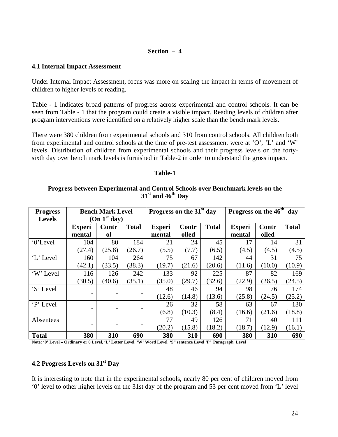#### **Section – 4**

#### **4.1 Internal Impact Assessment**

Under Internal Impact Assessment, focus was more on scaling the impact in terms of movement of children to higher levels of reading.

Table - 1 indicates broad patterns of progress across experimental and control schools. It can be seen from Table - 1 that the program could create a visible impact. Reading levels of children after program interventions were identified on a relatively higher scale than the bench mark levels.

There were 380 children from experimental schools and 310 from control schools. All children both from experimental and control schools at the time of pre-test assessment were at 'O', 'L' and 'W' levels. Distribution of children from experimental schools and their progress levels on the fortysixth day over bench mark levels is furnished in Table-2 in order to understand the gross impact.

#### **Table-1**

## **Progress between Experimental and Control Schools over Benchmark levels on the 31st and 46th Day**

| <b>Progress</b> |                          | Progress on the 46 <sup>th</sup><br>Progress on the 31 <sup>st</sup> day<br><b>Bench Mark Level</b> |                |                         |                |              | day                     |                |              |
|-----------------|--------------------------|-----------------------------------------------------------------------------------------------------|----------------|-------------------------|----------------|--------------|-------------------------|----------------|--------------|
| <b>Levels</b>   |                          | (On 1 <sup>st</sup> day)                                                                            |                |                         |                |              |                         |                |              |
|                 | <b>Experi</b><br>mental  | Contr<br><sub>ol</sub>                                                                              | <b>Total</b>   | <b>Experi</b><br>mental | Contr<br>olled | <b>Total</b> | <b>Experi</b><br>mental | Contr<br>olled | <b>Total</b> |
|                 |                          |                                                                                                     |                |                         |                |              |                         |                |              |
| '0'Level        | 104                      | 80                                                                                                  | 184            | 21                      | 24             | 45           | 17                      | 14             | 31           |
|                 | (27.4)                   | (25.8)                                                                                              | (26.7)         | (5.5)                   | (7.7)          | (6.5)        | (4.5)                   | (4.5)          | (4.5)        |
| 'L' Level       | 160                      | 104                                                                                                 | 264            | 75                      | 67             | 142          | 44                      | 31             | 75           |
|                 | (42.1)                   | (33.5)                                                                                              | (38.3)         | (19.7)                  | (21.6)         | (20.6)       | (11.6)                  | (10.0)         | (10.9)       |
| 'W' Level       | 116                      | 126                                                                                                 | 242            | 133                     | 92             | 225          | 87                      | 82             | 169          |
|                 | (30.5)                   | (40.6)                                                                                              | (35.1)         | (35.0)                  | (29.7)         | (32.6)       | (22.9)                  | (26.5)         | (24.5)       |
| 'S' Level       |                          |                                                                                                     |                | 48                      | 46             | 94           | 98                      | 76             | 174          |
|                 | $\qquad \qquad$          |                                                                                                     |                | (12.6)                  | (14.8)         | (13.6)       | (25.8)                  | (24.5)         | (25.2)       |
| 'P' Level       |                          |                                                                                                     |                | 26                      | 32             | 58           | 63                      | 67             | 130          |
|                 | $\overline{\phantom{a}}$ |                                                                                                     | $\overline{a}$ | (6.8)                   | (10.3)         | (8.4)        | (16.6)                  | (21.6)         | (18.8)       |
| Absentees       |                          |                                                                                                     |                | 77                      | 49             | 126          | 71                      | 40             | 111          |
|                 | $\overline{\phantom{a}}$ |                                                                                                     |                | (20.2)                  | (15.8)         | (18.2)       | (18.7)                  | (12.9)         | (16.1)       |
| <b>Total</b>    | 380                      | 310                                                                                                 | 690            | 380                     | 310            | 690          | 380                     | 310            | 690          |

**Note: '0' Level – Ordinary or 0 Level, 'L' Letter Level, 'W' Word Level 'S" sentence Level 'P' Paragraph Level** 

## **4.2 Progress Levels on 31st Day**

It is interesting to note that in the experimental schools, nearly 80 per cent of children moved from '0' level to other higher levels on the 31st day of the program and 53 per cent moved from 'L' level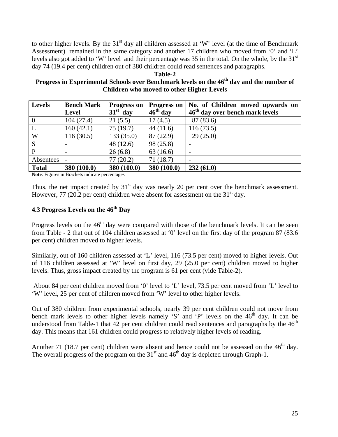to other higher levels. By the 31<sup>st</sup> day all children assessed at 'W' level (at the time of Benchmark Assessment) remained in the same category and another 17 children who moved from '0' and 'L' levels also got added to 'W' level and their percentage was 35 in the total. On the whole, by the  $31<sup>st</sup>$ day 74 (19.4 per cent) children out of 380 children could read sentences and paragraphs.

**Table-2** 

## Progress in Experimental Schools over Benchmark levels on the 46<sup>th</sup> day and the number of **Children who moved to other Higher Levels**

| <b>Levels</b>  | <b>Bench Mark</b> | <b>Progress on</b> | <b>Progress on</b> | No. of Children moved upwards on            |
|----------------|-------------------|--------------------|--------------------|---------------------------------------------|
|                | <b>Level</b>      | $31st$ day         | $46th$ day         | 46 <sup>th</sup> day over bench mark levels |
| $\overline{0}$ | 104(27.4)         | 21(5.5)            | 17(4.5)            | 87 (83.6)                                   |
| L              | 160(42.1)         | 75(19.7)           | 44(11.6)           | 116(73.5)                                   |
| W              | 116(30.5)         | 133(35.0)          | 87(22.9)           | 29(25.0)                                    |
| S              |                   | 48(12.6)           | 98 (25.8)          |                                             |
| $\mathbf{P}$   |                   | 26(6.8)            | 63(16.6)           |                                             |
| Absentees      |                   | 77(20.2)           | 71(18.7)           |                                             |
| <b>Total</b>   | 380 (100.0)       | 380 (100.0)        | 380 (100.0)        | 232(61.0)                                   |

**Note**: Figures in Brackets indicate percentages

Thus, the net impact created by  $31<sup>st</sup>$  day was nearly 20 per cent over the benchmark assessment. However, 77 (20.2 per cent) children were absent for assessment on the  $31<sup>st</sup>$  day.

# **4.3 Progress Levels on the 46th Day**

Progress levels on the  $46<sup>th</sup>$  day were compared with those of the benchmark levels. It can be seen from Table - 2 that out of 104 children assessed at '0' level on the first day of the program 87 (83.6 per cent) children moved to higher levels.

Similarly, out of 160 children assessed at 'L' level, 116 (73.5 per cent) moved to higher levels. Out of 116 children assessed at 'W' level on first day, 29 (25.0 per cent) children moved to higher levels. Thus, gross impact created by the program is 61 per cent (vide Table-2).

 About 84 per cent children moved from '0' level to 'L' level, 73.5 per cent moved from 'L' level to 'W' level, 25 per cent of children moved from 'W' level to other higher levels.

Out of 380 children from experimental schools, nearly 39 per cent children could not move from bench mark levels to other higher levels namely 'S' and 'P' levels on the  $46<sup>th</sup>$  day. It can be understood from Table-1 that 42 per cent children could read sentences and paragraphs by the  $46<sup>th</sup>$ day. This means that 161 children could progress to relatively higher levels of reading.

Another 71 (18.7 per cent) children were absent and hence could not be assessed on the  $46<sup>th</sup>$  day. The overall progress of the program on the  $31<sup>st</sup>$  and  $46<sup>th</sup>$  day is depicted through Graph-1.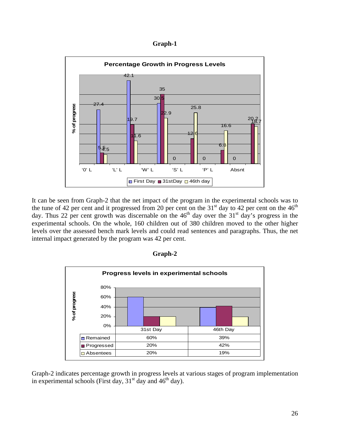**Graph-1** 



It can be seen from Graph-2 that the net impact of the program in the experimental schools was to the tune of 42 per cent and it progressed from 20 per cent on the 31<sup>st</sup> day to 42 per cent on the 46<sup>th</sup> day. Thus 22 per cent growth was discernable on the  $46<sup>th</sup>$  day over the  $31<sup>st</sup>$  day's progress in the experimental schools. On the whole, 160 children out of 380 children moved to the other higher levels over the assessed bench mark levels and could read sentences and paragraphs. Thus, the net internal impact generated by the program was 42 per cent.



**Graph-2** 

Graph-2 indicates percentage growth in progress levels at various stages of program implementation in experimental schools (First day,  $31<sup>st</sup>$  day and  $46<sup>th</sup>$  day).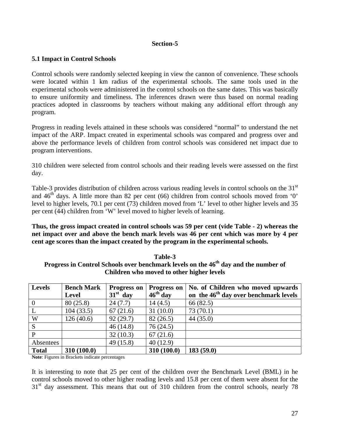### **Section-5**

## **5.1 Impact in Control Schools**

Control schools were randomly selected keeping in view the cannon of convenience. These schools were located within 1 km radius of the experimental schools. The same tools used in the experimental schools were administered in the control schools on the same dates. This was basically to ensure uniformity and timeliness. The inferences drawn were thus based on normal reading practices adopted in classrooms by teachers without making any additional effort through any program.

Progress in reading levels attained in these schools was considered "normal" to understand the net impact of the ARP. Impact created in experimental schools was compared and progress over and above the performance levels of children from control schools was considered net impact due to program interventions.

310 children were selected from control schools and their reading levels were assessed on the first day.

Table-3 provides distribution of children across various reading levels in control schools on the 31<sup>st</sup> and  $46<sup>th</sup>$  days. A little more than 82 per cent (66) children from control schools moved from '0' level to higher levels, 70.1 per cent (73) children moved from 'L' level to other higher levels and 35 per cent (44) children from 'W' level moved to higher levels of learning.

**Thus, the gross impact created in control schools was 59 per cent (vide Table - 2) whereas the net impact over and above the bench mark levels was 46 per cent which was more by 4 per cent age scores than the impact created by the program in the experimental schools.** 

| таве-э                                                                                          |
|-------------------------------------------------------------------------------------------------|
| Progress in Control Schools over benchmark levels on the 46 <sup>th</sup> day and the number of |
| Children who moved to other higher levels                                                       |

**Table-3** 

| <b>Levels</b>  | <b>Bench Mark</b> | <b>Progress on</b> | <b>Progress on</b> | No. of Children who moved upwards                 |
|----------------|-------------------|--------------------|--------------------|---------------------------------------------------|
|                | <b>Level</b>      | $31st$ day         | $46th$ day         | on the 46 <sup>th</sup> day over benchmark levels |
| $\overline{0}$ | 80(25.8)          | 24(7.7)            | 14(4.5)            | 66 (82.5)                                         |
| L              | 104(33.5)         | 67(21.6)           | 31(10.0)           | 73(70.1)                                          |
| W              | 126(40.6)         | 92(29.7)           | 82(26.5)           | 44(35.0)                                          |
| S              |                   | 46(14.8)           | 76(24.5)           |                                                   |
| P              |                   | 32(10.3)           | 67(21.6)           |                                                   |
| Absentees      |                   | 49(15.8)           | 40(12.9)           |                                                   |
| <b>Total</b>   | 310 (100.0)       |                    | 310 (100.0)        | 183(59.0)                                         |

**Note**: Figures in Brackets indicate percentages

It is interesting to note that 25 per cent of the children over the Benchmark Level (BML) in he control schools moved to other higher reading levels and 15.8 per cent of them were absent for the  $31<sup>st</sup>$  day assessment. This means that out of 310 children from the control schools, nearly 78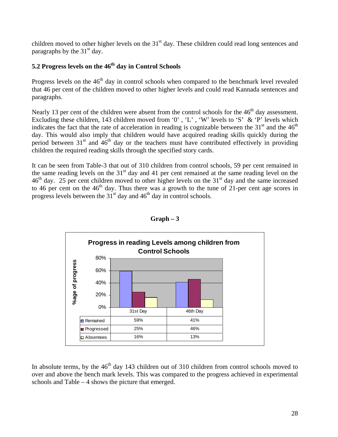children moved to other higher levels on the 31<sup>st</sup> day. These children could read long sentences and paragraphs by the  $31<sup>st</sup>$  day.

# **5.2 Progress levels on the 46th day in Control Schools**

Progress levels on the 46<sup>th</sup> day in control schools when compared to the benchmark level revealed that 46 per cent of the children moved to other higher levels and could read Kannada sentences and paragraphs.

Nearly 13 per cent of the children were absent from the control schools for the 46<sup>th</sup> day assessment. Excluding these children, 143 children moved from '0', 'L', 'W' levels to 'S' & 'P' levels which indicates the fact that the rate of acceleration in reading is cognizable between the  $31<sup>st</sup>$  and the  $46<sup>th</sup>$ day. This would also imply that children would have acquired reading skills quickly during the period between  $31<sup>st</sup>$  and  $46<sup>th</sup>$  day or the teachers must have contributed effectively in providing children the required reading skills through the specified story cards.

It can be seen from Table-3 that out of 310 children from control schools, 59 per cent remained in the same reading levels on the  $31<sup>st</sup>$  day and 41 per cent remained at the same reading level on the  $46<sup>th</sup>$  day. 25 per cent children moved to other higher levels on the  $31<sup>st</sup>$  day and the same increased to 46 per cent on the 46<sup>th</sup> day. Thus there was a growth to the tune of 21-per cent age scores in progress levels between the  $31<sup>st</sup>$  day and  $46<sup>th</sup>$  day in control schools.





In absolute terms, by the  $46<sup>th</sup>$  day 143 children out of 310 children from control schools moved to over and above the bench mark levels. This was compared to the progress achieved in experimental schools and Table – 4 shows the picture that emerged.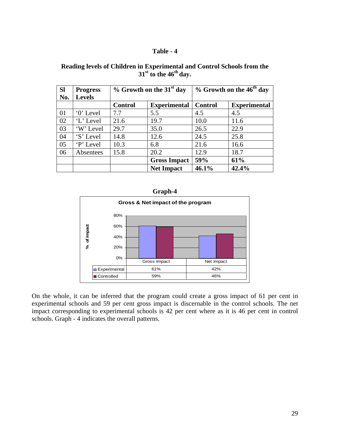#### **Table - 4**

| <b>SI</b> | <b>Progress</b> | $%$ Growth on the 31 <sup>st</sup> day |                     | % Growth on the 46 <sup>th</sup> day |                     |
|-----------|-----------------|----------------------------------------|---------------------|--------------------------------------|---------------------|
| No.       | <b>Levels</b>   |                                        |                     |                                      |                     |
|           |                 | <b>Control</b>                         | <b>Experimental</b> | <b>Control</b>                       | <b>Experimental</b> |
| 01        | '0' Level       | 7.7                                    | 5.5                 | 4.5                                  | 4.5                 |
| 02        | 'L' Level       | 21.6                                   | 19.7                | 10.0                                 | 11.6                |
| 03        | 'W' Level       | 29.7                                   | 35.0                | 26.5                                 | 22.9                |
| 04        | 'S' Level       | 14.8                                   | 12.6                | 24.5                                 | 25.8                |
| 05        | P' Level        | 10.3                                   | 6.8                 | 21.6                                 | 16.6                |
| 06        | Absentees       | 15.8                                   | 20.2                | 12.9                                 | 18.7                |
|           |                 |                                        | <b>Gross Impact</b> | 59%                                  | 61%                 |
|           |                 |                                        | <b>Net Impact</b>   | 46.1%                                | 42.4%               |

#### **Reading levels of Children in Experimental and Control Schools from the**   $31<sup>st</sup>$  to the  $46<sup>th</sup>$  day.





On the whole, it can be inferred that the program could create a gross impact of 61 per cent in experimental schools and 59 per cent gross impact is discernable in the control schools. The net impact corresponding to experimental schools is 42 per cent where as it is 46 per cent in control schools. Graph - 4 indicates the overall patterns.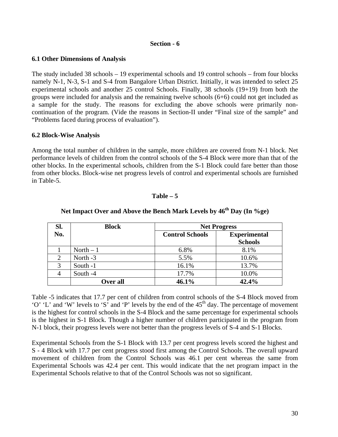#### **Section - 6**

#### **6.1 Other Dimensions of Analysis**

The study included 38 schools – 19 experimental schools and 19 control schools – from four blocks namely N-1, N-3, S-1 and S-4 from Bangalore Urban District. Initially, it was intended to select 25 experimental schools and another 25 control Schools. Finally, 38 schools (19+19) from both the groups were included for analysis and the remaining twelve schools (6+6) could not get included as a sample for the study. The reasons for excluding the above schools were primarily noncontinuation of the program. (Vide the reasons in Section-II under "Final size of the sample" and "Problems faced during process of evaluation").

### **6.2 Block-Wise Analysis**

Among the total number of children in the sample, more children are covered from N-1 block. Net performance levels of children from the control schools of the S-4 Block were more than that of the other blocks. In the experimental schools, children from the S-1 Block could fare better than those from other blocks. Block-wise net progress levels of control and experimental schools are furnished in Table-5.

### **Table – 5**

| Sl.            | <b>Block</b> | <b>Net Progress</b>                           |                |  |
|----------------|--------------|-----------------------------------------------|----------------|--|
| No.            |              | <b>Experimental</b><br><b>Control Schools</b> |                |  |
|                |              |                                               | <b>Schools</b> |  |
|                | North $-1$   | 6.8%                                          | 8.1%           |  |
| $\overline{2}$ | North -3     | 5.5%                                          | 10.6%          |  |
| 3              | South -1     | 16.1%                                         | 13.7%          |  |
|                | South -4     | 17.7%                                         | 10.0%          |  |
|                | Over all     | 46.1%                                         | 42.4%          |  |

# Net Impact Over and Above the Bench Mark Levels by  $46<sup>th</sup>$  Day (In %ge)

Table -5 indicates that 17.7 per cent of children from control schools of the S-4 Block moved from 'O' 'L' and 'W' levels to 'S' and 'P' levels by the end of the  $45<sup>th</sup>$  day. The percentage of movement is the highest for control schools in the S-4 Block and the same percentage for experimental schools is the highest in S-1 Block. Though a higher number of children participated in the program from N-1 block, their progress levels were not better than the progress levels of S-4 and S-1 Blocks.

Experimental Schools from the S-1 Block with 13.7 per cent progress levels scored the highest and S - 4 Block with 17.7 per cent progress stood first among the Control Schools. The overall upward movement of children from the Control Schools was 46.1 per cent whereas the same from Experimental Schools was 42.4 per cent. This would indicate that the net program impact in the Experimental Schools relative to that of the Control Schools was not so significant.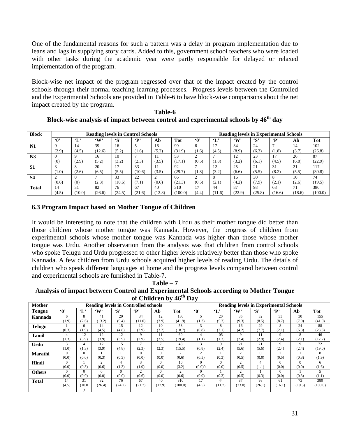One of the fundamental reasons for such a pattern was a delay in program implementation due to leans and lags in supplying story cards. Added to this, government school teachers who were loaded with other tasks during the academic year were partly responsible for delayed or relaxed implementation of the program.

Block-wise net impact of the program regressed over that of the impact created by the control schools through their normal teaching learning processes. Progress levels between the Controlled and the Experimental Schools are provided in Table-6 to have block-wise comparisons about the net impact created by the program.

| <b>Block</b>   |                     |                        | <b>Reading levels in Control Schools</b> |              |              |        |            |          |              |              |              | <b>Reading levels in Experimental Schools</b> |        |            |
|----------------|---------------------|------------------------|------------------------------------------|--------------|--------------|--------|------------|----------|--------------|--------------|--------------|-----------------------------------------------|--------|------------|
|                | $\ddot{\mathbf{0}}$ | $\mathbf{L}^{\bullet}$ | $\mathbf{w}$                             | $\mathbf{S}$ | $\mathbf{P}$ | Ab     | <b>Tot</b> | ·0'      | $\mathbf{L}$ | $\mathbf{w}$ | $\mathbf{S}$ | $\mathbf{P}$                                  | Ab     | <b>Tot</b> |
| N1             | $\mathbf Q$         | 14                     | 39                                       | 16           |              | 16     | 99         | 6        |              | 34           | 24           |                                               | 14     | 102        |
|                | (2.9)               | (4.5)                  | (12.6)                                   | (5.2)        | (1.6)        | (5.2)  | (31.9)     | (1.6)    | (4.5)        | (8.9)        | (6.3)        | (1.8)                                         | (3.7)  | (26.8)     |
| N <sub>3</sub> | $\Omega$            |                        | 16                                       | 10           |              |        | 53         | $\sim$   |              | 12           | 23           | 17                                            | 26     | 87         |
|                | (0)                 | (2.9)                  | (5.2)                                    | (3.2)        | (2.3)        | (3.5)  | (17.1)     | (0.5)    | (1.8)        | (3.2)        | (6.1)        | (4.5)                                         | (6.8)  | (22.9)     |
| S <sub>1</sub> | 3                   | Õ                      | 20                                       | 17           | 33           | 11     | 92         |          | 12           | 25           | 21           | 31                                            | 21     | 117        |
|                | (1.0)               | (2.6)                  | (6.5)                                    | (5.5)        | (10.6)       | (3.5)  | (29.7)     | (1.8)    | (3.2)        | (6.6)        | (5.5)        | (8.2)                                         | (5.5)  | (30.8)     |
| <b>S4</b>      | ◠                   |                        |                                          | 33           | 22           |        | 66         | $\Omega$ | 8            | 16           | 30           |                                               | 10     | 74         |
|                | (0.6)               | (0)                    | (2.3)                                    | (10.6)       | (7.1)        | (0.6)  | (21.3)     | (0.5)    | (2.1)        | (4.2)        | (7.9)        | (2.1)                                         | (2.6)  | (19.5)     |
| <b>Total</b>   | 14                  | 31                     | 82                                       | 76           | 67           | 40     | 310        | 17       | 44           | 87           | 98           | 63                                            | 71     | 380        |
|                | (4.5)               | (10.0)                 | (26.6)                                   | (24.5)       | (21.6)       | (12.8) | (100.0)    | (4.4)    | (11.6)       | (22.9)       | (25.8)       | (16.6)                                        | (18.6) | (100.0)    |

**Table-6 Block-wise analysis of impact between control and experimental schools by 46th day** 

## **6.3 Program Impact based on Mother Tongue of Children**

It would be interesting to note that the children with Urdu as their mother tongue did better than those children whose mother tongue was Kannada. However, the progress of children from experimental schools whose mother tongue was Kannada was higher than those whose mother tongue was Urdu. Another observation from the analysis was that children from control schools who spoke Telugu and Urdu progressed to other higher levels relatively better than those who spoke Kannada. A few children from Urdu schools acquired higher levels of reading Urdu. The details of children who speak different languages at home and the progress levels compared between control and experimental schools are furnished in Table-7.

**Table – 7 Analysis of impact between Control and Experimental Schools according to Mother Tongue of Children by 46th Day** 

| <b>Mother</b> |                     |                        |               |            | <b>Reading levels in Controlled schools</b> |        |                |                |                        |              | <b>Reading levels in Experimental Schools</b> |                |          |            |
|---------------|---------------------|------------------------|---------------|------------|---------------------------------------------|--------|----------------|----------------|------------------------|--------------|-----------------------------------------------|----------------|----------|------------|
| Tongue        | $\ddot{\mathbf{0}}$ | $\mathbf{L}^{\bullet}$ | $\mathbf{w}$  | $\cdot$ s' | $\mathbf{P}'$                               | Ab     | <b>Tot</b>     | $\mathbf{Y}$   | $\mathbf{L}^{\bullet}$ | $\mathbf{w}$ | $\mathbf{S}$                                  | $\mathbf{P}'$  | Ab       | <b>Tot</b> |
| Kannada       | 6                   | 8                      | 41            | 29         | 34                                          | 12     | 130            |                | 20                     | 35           | 32                                            | 33             | 30       | 155        |
|               | (1.9)               | (2.6)                  | (13.2)        | (9.4)      | (11.0)                                      | (3.9)  | (41.9)         | (1.3)          | (5.3)                  | (9.3)        | (8.5)                                         | (8.7)          | (7.9)    | (41.0)     |
| <b>Telugu</b> |                     | 6                      | 14            | 15         | 12                                          | 10     | 58             | $\mathbf{3}$   | 8                      | 16           | 29                                            | 8              | 24       | 88         |
|               | (0.3)               | (1.9)                  | (4.5)         | (4.8)      | (3.9)                                       | (3.2)  | (18.7)         | (0.8)          | (2.1)                  | (4.2)        | (7.7)                                         | (2.1)          | (6.3)    | (23.3)     |
| <b>Tamil</b>  | 4                   | 12                     | 12            | 12         | Q                                           |        | 60             |                | 0.5                    | 9            | 11                                            | 9              | 8        | 46         |
|               | (1.3)               | (3.9)                  | (3.9)         | (3.9)      | (2.9)                                       | (3.5)  | (19.4)         | (1.1)          | (1.3)                  | (2.4)        | (2.9)                                         | (2.4)          | (2.1)    | (12.2)     |
| <b>Urdu</b>   |                     |                        | 12            | 15         |                                             |        | 48             | $\mathbf{3}$   | Q                      | 21           | 21                                            | 9              | 9        | 72         |
|               | (1.0)               | (1.3)                  | (3.9)         | (4.8)      | (2.3)                                       | (2.3)  | (15.5)         | (0.8)          | (2.4)                  | (5.6)        | (5.6)                                         | (2.4)          | (2.4)    | (19.0)     |
| Marathi       | $\Omega$            | $\Omega$               |               |            | $\Omega$                                    |        | $\mathfrak{D}$ | $\overline{c}$ |                        | ◠            | $\Omega$                                      | $\overline{2}$ |          |            |
|               | (0.0)               | (0.0)                  | (0.3)         | (0.3)      | (0.0)                                       | (0.0)  | (0.6)          | (0.5)          | (0.3)                  | (0.5)        | (0.0)                                         | (0.5)          | (0.3)    | (1.9)      |
| Hindi         | $\Omega$            |                        | $\mathcal{D}$ |            |                                             |        | 10             | $\Omega$       |                        | ↑            | 4                                             | $\Omega$       | $\Omega$ | 6          |
|               | (0.0)               | (0.3)                  | (0.6)         | (1.3)      | (1.0)                                       | (0.0)  | (3.2)          | (0.0)0         | (0.0)                  | (0.5)        | (1.1)                                         | (0.0)          | (0.0)    | (1.6)      |
| <b>Others</b> | $\Omega$            | $\Omega$               | $\Omega$      | $\alpha$   | $\mathfrak{D}$                              |        | $\mathcal{L}$  | $\Omega$       |                        | C            |                                               | $\Omega$       |          |            |
|               | (0.0)               | (0.0)                  | (0.0)         | (0.0)      | (0.6)                                       | (0.0)  | (0.6)          | (0.0)          | (0.3)                  | (0.5)        | (0.3)                                         | (0.0)          | (0.3)    | (1.1)      |
| <b>Total</b>  | 14                  | 31                     | 82            | 76         | 67                                          | 40     | 310            | 17             | 44                     | 87           | 98                                            | 61             | 73       | 380        |
|               | (4.5)               | (10.0)                 | (26.4)        | (24.2)     | (21.7)                                      | (12.9) | (100.0)        | (4.5)          | (11.7)                 | (23.0)       | (26.1)                                        | (16.1)         | (19.3)   | (100.0)    |
|               |                     |                        |               |            |                                             |        |                |                |                        |              |                                               |                |          |            |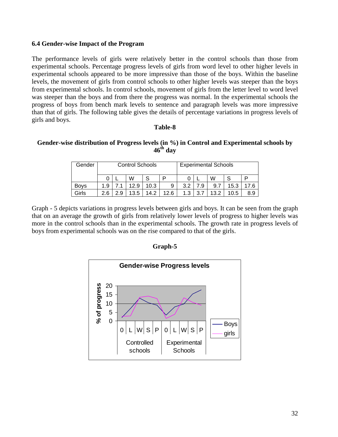#### **6.4 Gender-wise Impact of the Program**

The performance levels of girls were relatively better in the control schools than those from experimental schools. Percentage progress levels of girls from word level to other higher levels in experimental schools appeared to be more impressive than those of the boys. Within the baseline levels, the movement of girls from control schools to other higher levels was steeper than the boys from experimental schools. In control schools, movement of girls from the letter level to word level was steeper than the boys and from there the progress was normal. In the experimental schools the progress of boys from bench mark levels to sentence and paragraph levels was more impressive than that of girls. The following table gives the details of percentage variations in progress levels of girls and boys.

#### **Table-8**

#### **Gender-wise distribution of Progress levels (in %) in Control and Experimental schools by 46th day**

| Gender      |     |     | <b>Control Schools</b> |      |      |     |        | <b>Experimental Schools</b> |      |     |
|-------------|-----|-----|------------------------|------|------|-----|--------|-----------------------------|------|-----|
|             |     |     | W                      | S    |      |     |        | W                           |      | D   |
| <b>Boys</b> | 1.9 |     | 12.9                   | 10.3 | 9    | 3.2 | .9     | 9.7                         | 15.3 | 7.6 |
| Girls       | . 6 | 2.9 | 13.5                   | 14.2 | 12 6 | 1.3 | ⇁<br>າ | 13.2                        | 10.5 | 8.9 |

Graph - 5 depicts variations in progress levels between girls and boys. It can be seen from the graph that on an average the growth of girls from relatively lower levels of progress to higher levels was more in the control schools than in the experimental schools. The growth rate in progress levels of boys from experimental schools was on the rise compared to that of the girls.



## **Graph-5**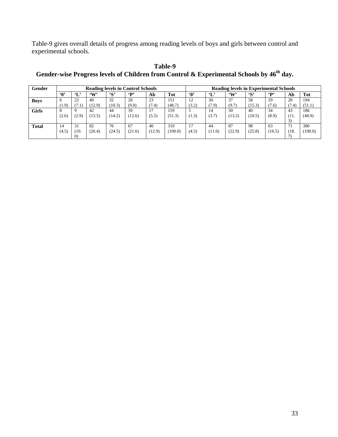Table-9 gives overall details of progress among reading levels of boys and girls between control and experimental schools.

| Gender      |              |                        |              |               | <b>Reading levels in Control Schools</b> |        |            |            |              | <b>Reading levels in Experimental Schools</b> |              |                         |       |            |
|-------------|--------------|------------------------|--------------|---------------|------------------------------------------|--------|------------|------------|--------------|-----------------------------------------------|--------------|-------------------------|-------|------------|
|             | <b>M</b>     | $\mathbf{L}^{\bullet}$ | $\mathbf{W}$ | $\mathbf{S}'$ | $\epsilon_{\mathbf{D}}$                  | Ab     | <b>Tot</b> | $\cdot$ 0' | $\mathbf{L}$ | $\mathbf{w}$                                  | $\mathbf{S}$ | $\epsilon_{\mathbf{D}}$ | Ab    | <b>Tot</b> |
| <b>Boys</b> | <sub>6</sub> | 22                     | 40           | 32            | 28                                       | 23     | 151        | 12         | 30           | 37                                            | 58           | 29                      | 28    | 194        |
|             | (1.9)        | 7.1                    | (12.9)       | (10.3)        | (9.0)                                    | (7.4)  | (48.7)     | (3.2)      | (7.9)        | (9.7)                                         | (15.3)       | (7.6)                   | (7.4) | (51.1)     |
| Girls       | 8            |                        | 42           | 44            | 39                                       | 17     | 159        |            | 14           | 50                                            | 40           | 34                      | 43    | 186        |
|             | (2.6)        | (2.9)                  | (13.5)       | (14.2)        | (12.6)                                   | (5.5)  | (51.3)     | (1.3)      | (3.7)        | (13.2)                                        | (10.5)       | (8.9)                   | (11.  | (48.9)     |
|             |              |                        |              |               |                                          |        |            |            |              |                                               |              |                         |       |            |
| Total       | 14           | 31                     | 82           | 76            | 67                                       | 40     | 310        |            | 44           | 87                                            | 98           | 63                      | 71    | 380        |
|             | (4.5)        | (10,                   | (26.4)       | (24.5)        | (21.6)                                   | (12.9) | (100.0)    | (4.5)      | (11.6)       | (22.9)                                        | (25.8)       | (16.5)                  | (18.  | (100.0)    |
|             |              | $\Omega$               |              |               |                                          |        |            |            |              |                                               |              |                         |       |            |

**Table-9**  Gender-wise Progress levels of Children from Control & Experimental Schools by  $46^{\text{th}}$  day.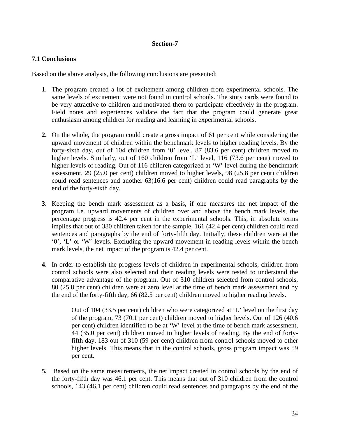## **Section-7**

## **7.1 Conclusions**

Based on the above analysis, the following conclusions are presented:

- 1. The program created a lot of excitement among children from experimental schools. The same levels of excitement were not found in control schools. The story cards were found to be very attractive to children and motivated them to participate effectively in the program. Field notes and experiences validate the fact that the program could generate great enthusiasm among children for reading and learning in experimental schools.
- **2.** On the whole, the program could create a gross impact of 61 per cent while considering the upward movement of children within the benchmark levels to higher reading levels. By the forty-sixth day, out of 104 children from '0' level, 87 (83.6 per cent) children moved to higher levels. Similarly, out of 160 children from 'L' level, 116 (73.6 per cent) moved to higher levels of reading. Out of 116 children categorized at 'W' level during the benchmark assessment, 29 (25.0 per cent) children moved to higher levels, 98 (25.8 per cent) children could read sentences and another 63(16.6 per cent) children could read paragraphs by the end of the forty-sixth day.
- **3.** Keeping the bench mark assessment as a basis, if one measures the net impact of the program i.e. upward movements of children over and above the bench mark levels, the percentage progress is 42.4 per cent in the experimental schools. This, in absolute terms implies that out of 380 children taken for the sample, 161 (42.4 per cent) children could read sentences and paragraphs by the end of forty-fifth day. Initially, these children were at the '0', 'L' or 'W' levels. Excluding the upward movement in reading levels within the bench mark levels, the net impact of the program is 42.4 per cent.
- **4.** In order to establish the progress levels of children in experimental schools, children from control schools were also selected and their reading levels were tested to understand the comparative advantage of the program. Out of 310 children selected from control schools, 80 (25.8 per cent) children were at zero level at the time of bench mark assessment and by the end of the forty-fifth day, 66 (82.5 per cent) children moved to higher reading levels.

Out of 104 (33.5 per cent) children who were categorized at 'L' level on the first day of the program, 73 (70.1 per cent) children moved to higher levels. Out of 126 (40.6 per cent) children identified to be at 'W' level at the time of bench mark assessment, 44 (35.0 per cent) children moved to higher levels of reading. By the end of fortyfifth day, 183 out of 310 (59 per cent) children from control schools moved to other higher levels. This means that in the control schools, gross program impact was 59 per cent.

**5.** Based on the same measurements, the net impact created in control schools by the end of the forty-fifth day was 46.1 per cent. This means that out of 310 children from the control schools, 143 (46.1 per cent) children could read sentences and paragraphs by the end of the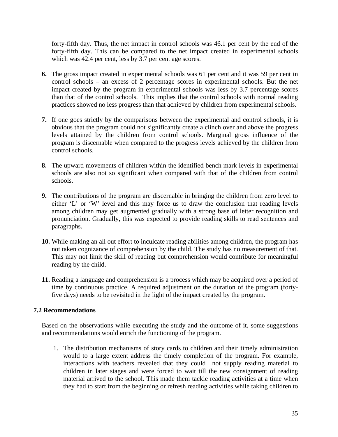forty-fifth day. Thus, the net impact in control schools was 46.1 per cent by the end of the forty-fifth day. This can be compared to the net impact created in experimental schools which was 42.4 per cent, less by 3.7 per cent age scores.

- **6.** The gross impact created in experimental schools was 61 per cent and it was 59 per cent in control schools – an excess of 2 percentage scores in experimental schools. But the net impact created by the program in experimental schools was less by 3.7 percentage scores than that of the control schools. This implies that the control schools with normal reading practices showed no less progress than that achieved by children from experimental schools.
- **7.** If one goes strictly by the comparisons between the experimental and control schools, it is obvious that the program could not significantly create a clinch over and above the progress levels attained by the children from control schools. Marginal gross influence of the program is discernable when compared to the progress levels achieved by the children from control schools.
- **8.** The upward movements of children within the identified bench mark levels in experimental schools are also not so significant when compared with that of the children from control schools.
- **9.** The contributions of the program are discernable in bringing the children from zero level to either 'L' or 'W' level and this may force us to draw the conclusion that reading levels among children may get augmented gradually with a strong base of letter recognition and pronunciation. Gradually, this was expected to provide reading skills to read sentences and paragraphs.
- **10.** While making an all out effort to inculcate reading abilities among children, the program has not taken cognizance of comprehension by the child. The study has no measurement of that. This may not limit the skill of reading but comprehension would contribute for meaningful reading by the child.
- **11.** Reading a language and comprehension is a process which may be acquired over a period of time by continuous practice. A required adjustment on the duration of the program (fortyfive days) needs to be revisited in the light of the impact created by the program.

#### **7.2 Recommendations**

Based on the observations while executing the study and the outcome of it, some suggestions and recommendations would enrich the functioning of the program.

1. The distribution mechanisms of story cards to children and their timely administration would to a large extent address the timely completion of the program. For example, interactions with teachers revealed that they could not supply reading material to children in later stages and were forced to wait till the new consignment of reading material arrived to the school. This made them tackle reading activities at a time when they had to start from the beginning or refresh reading activities while taking children to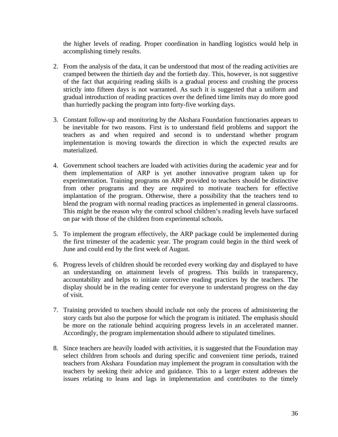the higher levels of reading. Proper coordination in handling logistics would help in accomplishing timely results.

- 2. From the analysis of the data, it can be understood that most of the reading activities are cramped between the thirtieth day and the fortieth day. This, however, is not suggestive of the fact that acquiring reading skills is a gradual process and crushing the process strictly into fifteen days is not warranted. As such it is suggested that a uniform and gradual introduction of reading practices over the defined time limits may do more good than hurriedly packing the program into forty-five working days.
- 3. Constant follow-up and monitoring by the Akshara Foundation functionaries appears to be inevitable for two reasons. First is to understand field problems and support the teachers as and when required and second is to understand whether program implementation is moving towards the direction in which the expected results are materialized.
- 4. Government school teachers are loaded with activities during the academic year and for them implementation of ARP is yet another innovative program taken up for experimentation. Training programs on ARP provided to teachers should be distinctive from other programs and they are required to motivate teachers for effective implantation of the program. Otherwise, there a possibility that the teachers tend to blend the program with normal reading practices as implemented in general classrooms. This might be the reason why the control school children's reading levels have surfaced on par with those of the children from experimental schools.
- 5. To implement the program effectively, the ARP package could be implemented during the first trimester of the academic year. The program could begin in the third week of June and could end by the first week of August.
- 6. Progress levels of children should be recorded every working day and displayed to have an understanding on attainment levels of progress. This builds in transparency, accountability and helps to initiate corrective reading practices by the teachers. The display should be in the reading center for everyone to understand progress on the day of visit.
- 7. Training provided to teachers should include not only the process of administering the story cards but also the purpose for which the program is initiated. The emphasis should be more on the rationale behind acquiring progress levels in an accelerated manner. Accordingly, the program implementation should adhere to stipulated timelines.
- 8. Since teachers are heavily loaded with activities, it is suggested that the Foundation may select children from schools and during specific and convenient time periods, trained teachers from Akshara Foundation may implement the program in consultation with the teachers by seeking their advice and guidance. This to a larger extent addresses the issues relating to leans and lags in implementation and contributes to the timely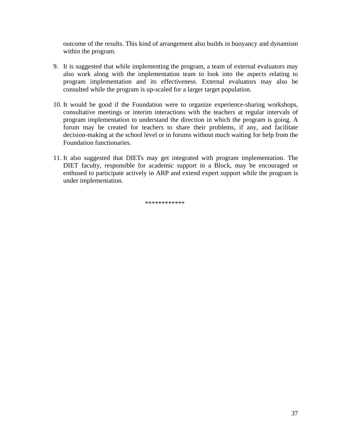outcome of the results. This kind of arrangement also builds in buoyancy and dynamism within the program.

- 9. It is suggested that while implementing the program, a team of external evaluators may also work along with the implementation team to look into the aspects relating to program implementation and its effectiveness. External evaluators may also be consulted while the program is up-scaled for a larger target population.
- 10. It would be good if the Foundation were to organize experience-sharing workshops, consultative meetings or interim interactions with the teachers at regular intervals of program implementation to understand the direction in which the program is going. A forum may be created for teachers to share their problems, if any, and facilitate decision-making at the school level or in forums without much waiting for help from the Foundation functionaries.
- 11. It also suggested that DIETs may get integrated with program implementation. The DIET faculty, responsible for academic support in a Block, may be encouraged or enthused to participate actively in ARP and extend expert support while the program is under implementation.

\*\*\*\*\*\*\*\*\*\*\*\*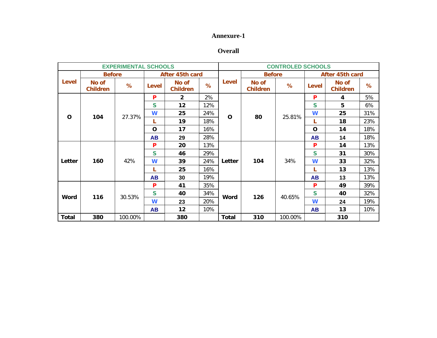#### **Annexure-1**

#### **Overall**

|              |                          | <b>EXPERIMENTAL SCHOOLS</b> |              |                          |     |              |                          | <b>CONTROLED SCHOOLS</b> |              |                          |     |
|--------------|--------------------------|-----------------------------|--------------|--------------------------|-----|--------------|--------------------------|--------------------------|--------------|--------------------------|-----|
|              | <b>Before</b>            |                             |              | After 45th card          |     |              | <b>Before</b>            |                          |              | After 45th card          |     |
| <b>Level</b> | No of<br><b>Children</b> | %                           | <b>Level</b> | No of<br><b>Children</b> | %   | Level        | No of<br><b>Children</b> | %                        | Level        | No of<br><b>Children</b> | %   |
|              |                          |                             | P            | $\overline{2}$           | 2%  |              |                          |                          | P            | 4                        | 5%  |
|              |                          |                             | S            | 12                       | 12% |              |                          |                          | S            | 5                        | 6%  |
| $\mathbf{o}$ |                          | 27.37%                      | W            | 25                       | 24% |              | 80                       |                          | W            | 25                       | 31% |
|              | 104                      |                             | L            | 19                       | 18% | O            |                          | 25.81%                   | L            | 18                       | 23% |
|              |                          |                             | O            | 17                       | 16% |              |                          |                          | $\mathbf O$  | 14                       | 18% |
|              |                          |                             | <b>AB</b>    | 29                       | 28% |              |                          |                          | <b>AB</b>    | 14                       | 18% |
|              |                          |                             | P            | 20                       | 13% |              |                          |                          | P            | 14                       | 13% |
|              |                          |                             | S            | 46                       | 29% |              |                          |                          | $\mathsf{s}$ | 31                       | 30% |
| Letter       | 160                      | 42%                         | W            | 39                       | 24% | Letter       | 104                      | 34%                      | W            | 33                       | 32% |
|              |                          |                             | L            | 25                       | 16% |              |                          |                          |              | 13                       | 13% |
|              |                          |                             | <b>AB</b>    | 30                       | 19% |              |                          |                          | <b>AB</b>    | 13                       | 13% |
|              |                          |                             | P            | 41                       | 35% |              |                          |                          | P            | 49                       | 39% |
|              |                          | 30.53%                      | $\mathsf{s}$ | 40                       | 34% |              | 126                      |                          | S            | 40                       | 32% |
| <b>Word</b>  | 116                      |                             | W            | 23                       | 20% | <b>Word</b>  |                          | 40.65%                   | W            | 24                       | 19% |
|              |                          |                             | <b>AB</b>    | 12                       | 10% |              |                          |                          | <b>AB</b>    | 13                       | 10% |
| <b>Total</b> | 380                      | 100.00%                     |              | 380                      |     | <b>Total</b> | 310                      | 100.00%                  |              | 310                      |     |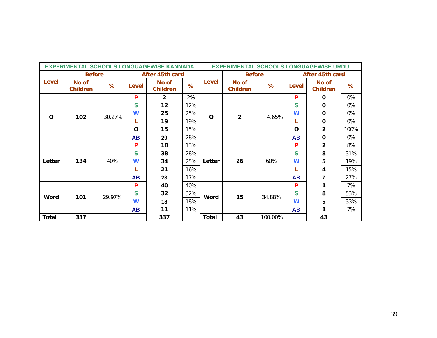|              |                          |        |             | <b>EXPERIMENTAL SCHOOLS LONGUAGEWISE KANNADA</b> |     |              | <b>EXPERIMENTAL SCHOOLS LONGUAGEWISE URDU</b> |         |             |                          |      |
|--------------|--------------------------|--------|-------------|--------------------------------------------------|-----|--------------|-----------------------------------------------|---------|-------------|--------------------------|------|
|              | <b>Before</b>            |        |             | After 45th card                                  |     |              | <b>Before</b>                                 |         |             | After 45th card          |      |
| Level        | No of<br><b>Children</b> | %      | Level       | No of<br><b>Children</b>                         | %   | Level        | No of<br><b>Children</b>                      | %       | Level       | No of<br><b>Children</b> | %    |
|              |                          |        | P           | $\overline{2}$                                   | 2%  |              |                                               |         | P           | $\mathbf 0$              | 0%   |
|              |                          |        | S           | 12                                               | 12% |              |                                               |         | S           | $\mathbf 0$              | 0%   |
| $\mathbf O$  | 102                      | 30.27% | W           | 25                                               | 25% | $\mathbf 0$  | $\overline{\mathbf{2}}$                       | 4.65%   | W           | $\mathbf 0$              | 0%   |
|              |                          |        | L           | 19                                               | 19% |              |                                               |         | L           | $\mathbf 0$              | 0%   |
|              |                          |        | $\mathbf 0$ | 15                                               | 15% |              |                                               |         | $\mathbf O$ | $\overline{2}$           | 100% |
|              |                          |        | <b>AB</b>   | 29                                               | 28% |              |                                               |         | <b>AB</b>   | $\mathbf{o}$             | 0%   |
|              |                          |        | P           | 18                                               | 13% |              |                                               |         | P           | $\overline{2}$           | 8%   |
|              |                          |        | S           | 38                                               | 28% |              |                                               |         | S           | 8                        | 31%  |
| Letter       | 134                      | 40%    | W           | 34                                               | 25% | Letter       | 26                                            | 60%     | W           | 5                        | 19%  |
|              |                          |        | L           | 21                                               | 16% |              |                                               |         | н.          | 4                        | 15%  |
|              |                          |        | <b>AB</b>   | 23                                               | 17% |              |                                               |         | <b>AB</b>   | $\overline{7}$           | 27%  |
|              |                          |        | P           | 40                                               | 40% |              |                                               |         | P           | 1                        | 7%   |
| Word         | 101                      | 29.97% | S           | 32                                               | 32% | Word         | 15                                            | 34.88%  | S           | 8                        | 53%  |
|              |                          |        | W           | 18                                               | 18% |              |                                               |         | W           | 5                        | 33%  |
|              |                          |        | <b>AB</b>   | 11                                               | 11% |              |                                               |         | <b>AB</b>   | 1                        | 7%   |
| <b>Total</b> | 337                      |        |             | 337                                              |     | <b>Total</b> | 43                                            | 100.00% |             | 43                       |      |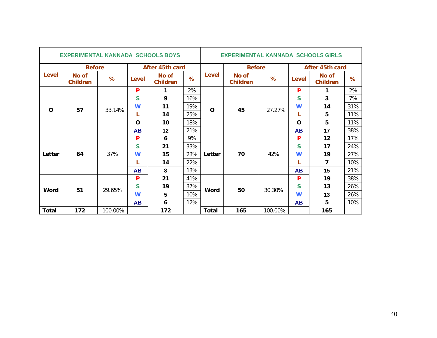|              | <b>EXPERIMENTAL KANNADA SCHOOLS BOYS</b> |         |              |                          |     |              | <b>EXPERIMENTAL KANNADA SCHOOLS GIRLS</b> |         |             |                          |     |
|--------------|------------------------------------------|---------|--------------|--------------------------|-----|--------------|-------------------------------------------|---------|-------------|--------------------------|-----|
|              | <b>Before</b>                            |         |              | After 45th card          |     |              | <b>Before</b>                             |         |             | After 45th card          |     |
| Level        | No of<br><b>Children</b>                 | %       | <b>Level</b> | No of<br><b>Children</b> | %   | Level        | No of<br><b>Children</b>                  | %       | Level       | No of<br><b>Children</b> | %   |
|              |                                          |         | P            | 1                        | 2%  |              |                                           |         | P           | $\mathbf 1$              | 2%  |
|              |                                          |         | S            | 9                        | 16% |              |                                           |         | S           | $\overline{3}$           | 7%  |
| $\Omega$     | 57                                       | 33.14%  | W            | 11                       | 19% | $\mathbf 0$  | 45                                        | 27.27%  | W           | 14                       | 31% |
|              |                                          |         | L            | 14                       | 25% |              |                                           |         | L           | 5                        | 11% |
|              |                                          |         | $\Omega$     | 10                       | 18% |              |                                           |         | $\mathbf O$ | 5                        | 11% |
|              |                                          |         | <b>AB</b>    | 12                       | 21% |              |                                           |         | <b>AB</b>   | 17                       | 38% |
|              |                                          |         | P            | 6                        | 9%  |              |                                           |         | P           | 12                       | 17% |
|              |                                          |         | $\mathsf{s}$ | 21                       | 33% |              |                                           |         | S           | 17                       | 24% |
| Letter       | 64                                       | 37%     | W            | 15                       | 23% | Letter       | 70                                        | 42%     | W           | 19                       | 27% |
|              |                                          |         | L            | 14                       | 22% |              |                                           |         | L           | $\overline{7}$           | 10% |
|              |                                          |         | <b>AB</b>    | 8                        | 13% |              |                                           |         | <b>AB</b>   | 15                       | 21% |
|              |                                          |         | P            | 21                       | 41% |              |                                           |         | P           | 19                       | 38% |
|              | 51                                       | 29.65%  | S            | 19                       | 37% | <b>Word</b>  | 50                                        | 30.30%  | S           | 13                       | 26% |
| Word         |                                          |         | W            | 5                        | 10% |              |                                           |         | W           | 13                       | 26% |
|              |                                          |         | <b>AB</b>    | 6                        | 12% |              |                                           |         | <b>AB</b>   | 5                        | 10% |
| <b>Total</b> | 172                                      | 100.00% |              | 172                      |     | <b>Total</b> | 165                                       | 100.00% |             | 165                      |     |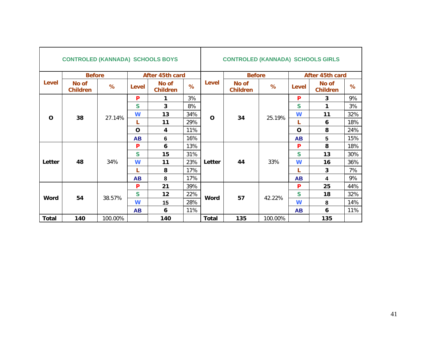|              | <b>CONTROLED (KANNADA) SCHOOLS BOYS</b> |         |              |                          |     |              | <b>CONTROLED (KANNADA) SCHOOLS GIRLS</b> |         |              |                          |     |
|--------------|-----------------------------------------|---------|--------------|--------------------------|-----|--------------|------------------------------------------|---------|--------------|--------------------------|-----|
|              | <b>Before</b>                           |         |              | After 45th card          |     |              | <b>Before</b>                            |         |              | After 45th card          |     |
| <b>Level</b> | No of<br><b>Children</b>                | %       | Level        | No of<br><b>Children</b> | %   | <b>Level</b> | No of<br><b>Children</b>                 | %       | Level        | No of<br><b>Children</b> | %   |
|              |                                         |         | P            | 1                        | 3%  |              |                                          |         | P            | 3                        | 9%  |
|              |                                         |         | S            | 3                        | 8%  |              |                                          |         | $\mathsf{S}$ | $\mathbf 1$              | 3%  |
| $\Omega$     | 38                                      | 27.14%  | W            | 13                       | 34% | $\mathbf O$  | 34                                       | 25.19%  | W            | 11                       | 32% |
|              |                                         |         | L            | 11                       | 29% |              |                                          |         | L            | 6                        | 18% |
|              |                                         |         | $\mathbf 0$  | 4                        | 11% |              |                                          |         | $\mathbf O$  | 8                        | 24% |
|              |                                         |         | <b>AB</b>    | 6                        | 16% |              |                                          |         | <b>AB</b>    | 5                        | 15% |
|              |                                         |         | P            | 6                        | 13% |              |                                          |         | P            | 8                        | 18% |
|              |                                         |         | $\mathsf{s}$ | 15                       | 31% |              |                                          |         | $\mathbf S$  | 13                       | 30% |
| Letter       | 48                                      | 34%     | W            | 11                       | 23% | Letter       | 44                                       | 33%     | W            | 16                       | 36% |
|              |                                         |         | L            | 8                        | 17% |              |                                          |         | L            | $\mathbf{3}$             | 7%  |
|              |                                         |         | <b>AB</b>    | 8                        | 17% |              |                                          |         | <b>AB</b>    | $\overline{\mathbf{4}}$  | 9%  |
|              |                                         |         | P            | 21                       | 39% |              |                                          |         | P            | 25                       | 44% |
|              | 54                                      | 38.57%  | $\mathsf{s}$ | 12                       | 22% | Word         | 57                                       | 42.22%  | S            | 18                       | 32% |
| Word         |                                         |         | W            | 15                       | 28% |              |                                          |         | W            | 8                        | 14% |
|              |                                         |         | <b>AB</b>    | 6                        | 11% |              |                                          |         | <b>AB</b>    | 6                        | 11% |
| <b>Total</b> | 140                                     | 100.00% |              | 140                      |     | <b>Total</b> | 135                                      | 100.00% |              | 135                      |     |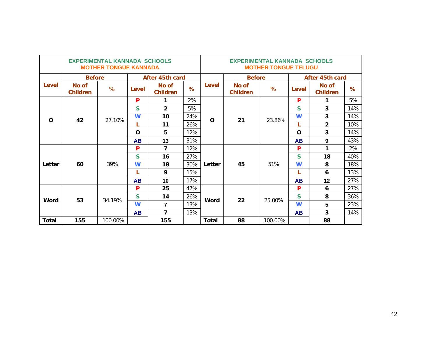|              |                          | <b>EXPERIMENTAL KANNADA SCHOOLS</b><br><b>MOTHER TONGUE KANNADA</b> |           |                          |     |              |                          | <b>EXPERIMENTAL KANNADA SCHOOLS</b><br><b>MOTHER TONGUE TELUGU</b> |           |                          |      |
|--------------|--------------------------|---------------------------------------------------------------------|-----------|--------------------------|-----|--------------|--------------------------|--------------------------------------------------------------------|-----------|--------------------------|------|
|              | <b>Before</b>            |                                                                     |           | After 45th card          |     |              | <b>Before</b>            |                                                                    |           | After 45th card          |      |
| Level        | No of<br><b>Children</b> | $\%$                                                                | Level     | No of<br><b>Children</b> | %   | Level        | No of<br><b>Children</b> | %                                                                  | Level     | No of<br><b>Children</b> | $\%$ |
|              |                          |                                                                     | P         | 1                        | 2%  |              |                          |                                                                    | P         | 1                        | 5%   |
|              |                          |                                                                     | S         | $\overline{2}$           | 5%  |              |                          |                                                                    | S         | 3                        | 14%  |
| $\Omega$     | 42                       | 27.10%                                                              | W         | 10                       | 24% | $\Omega$     | 21                       | 23.86%                                                             | W         | 3                        | 14%  |
|              |                          |                                                                     | L         | 11                       | 26% |              |                          |                                                                    | L         | $\overline{2}$           | 10%  |
|              |                          |                                                                     | $\Omega$  | 5                        | 12% |              |                          |                                                                    | O         | 3                        | 14%  |
|              |                          |                                                                     | <b>AB</b> | 13                       | 31% |              |                          |                                                                    | <b>AB</b> | 9                        | 43%  |
|              |                          |                                                                     | P         | $\overline{7}$           | 12% |              |                          |                                                                    | P         | 1                        | 2%   |
|              |                          |                                                                     | S         | 16                       | 27% |              |                          |                                                                    | S         | 18                       | 40%  |
| Letter       | 60                       | 39%                                                                 | W         | 18                       | 30% | Letter       | 45                       | 51%                                                                | W         | 8                        | 18%  |
|              |                          |                                                                     | L         | 9                        | 15% |              |                          |                                                                    | L         | 6                        | 13%  |
|              |                          |                                                                     | <b>AB</b> | 10                       | 17% |              |                          |                                                                    | <b>AB</b> | $12 \,$                  | 27%  |
|              |                          |                                                                     | P         | 25                       | 47% |              |                          |                                                                    | P         | 6                        | 27%  |
|              | 53                       | 34.19%                                                              | S         | 14                       | 26% | Word         | 22                       | 25.00%                                                             | S         | 8                        | 36%  |
| Word         |                          |                                                                     | W         | $\overline{7}$           | 13% |              |                          |                                                                    | W         | 5                        | 23%  |
|              |                          |                                                                     | <b>AB</b> | $\overline{7}$           | 13% |              |                          |                                                                    | <b>AB</b> | $\overline{3}$           | 14%  |
| <b>Total</b> | 155                      | 100.00%                                                             |           | 155                      |     | <b>Total</b> | 88                       | 100.00%                                                            |           | 88                       |      |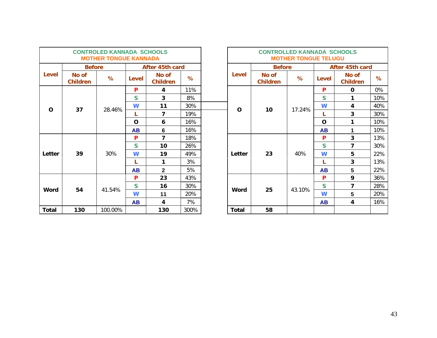|              |                          | <b>CONTROLED KANNADA SCHOOLS</b><br><b>MOTHER TONGUE KANNADA</b> |           |                          |      |              | <b>CONTROLLED KANNADA SCHOOLS</b> | <b>MOTHER TONGUE TELUGU</b> |             |                          |     |
|--------------|--------------------------|------------------------------------------------------------------|-----------|--------------------------|------|--------------|-----------------------------------|-----------------------------|-------------|--------------------------|-----|
|              | <b>Before</b>            |                                                                  |           | After 45th card          |      |              | <b>Before</b>                     |                             |             | After 45th card          |     |
| Level        | No of<br><b>Children</b> | %                                                                | Level     | No of<br><b>Children</b> | %    | Level        | No of<br><b>Children</b>          | %                           | Level       | No of<br><b>Children</b> | %   |
|              |                          |                                                                  | P         | 4                        | 11%  |              |                                   |                             | P           | $\mathbf 0$              | 0%  |
|              |                          |                                                                  | S.        | $\overline{3}$           | 8%   |              |                                   |                             | <b>S</b>    | 1                        | 10% |
| $\Omega$     | 37                       | 28.46%                                                           | W         | 11                       | 30%  | $\Omega$     | 10                                | 17.24%                      | W           | 4                        | 40% |
|              |                          |                                                                  |           | $\overline{ }$           | 19%  |              |                                   |                             | L           | 3                        | 30% |
|              |                          |                                                                  | $\Omega$  | 6                        | 16%  |              |                                   |                             | $\mathbf O$ | 1                        | 10% |
|              |                          |                                                                  | <b>AB</b> | 6                        | 16%  |              |                                   |                             | <b>AB</b>   | 1                        | 10% |
|              |                          |                                                                  | P         | $\overline{ }$           | 18%  |              |                                   |                             | P           | 3                        | 13% |
|              |                          |                                                                  | S.        | 10                       | 26%  |              |                                   |                             | S           | 7                        | 30% |
| Letter       | 39                       | 30%                                                              | W         | 19                       | 49%  | Letter       | 23                                | 40%                         | W           | 5                        | 22% |
|              |                          |                                                                  |           | 1                        | 3%   |              |                                   |                             | L           | 3                        | 13% |
|              |                          |                                                                  | <b>AB</b> | $\mathbf{2}$             | 5%   |              |                                   |                             | <b>AB</b>   | 5                        | 22% |
|              |                          |                                                                  | P         | 23                       | 43%  |              |                                   |                             | P           | 9                        | 36% |
|              | 54                       | 41.54%                                                           | S         | 16                       | 30%  | Word         | 25                                | 43.10%                      | S           | 7                        | 28% |
| Word         |                          |                                                                  | W         | 11                       | 20%  |              |                                   |                             | W           | 5                        | 20% |
|              |                          |                                                                  | <b>AB</b> | 4                        | 7%   |              |                                   |                             | <b>AB</b>   | 4                        | 16% |
| <b>Total</b> | 130                      | 100.00%                                                          |           | 130                      | 300% | <b>Total</b> | 58                                |                             |             |                          |     |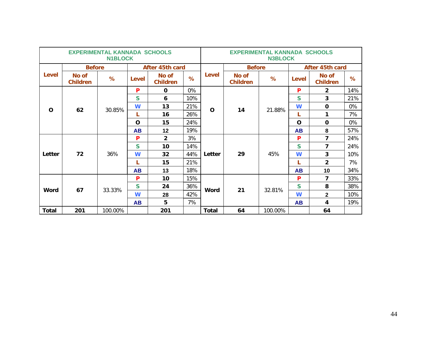|              |                          | <b>EXPERIMENTAL KANNADA SCHOOLS</b><br><b>N1BLOCK</b> |           |                          |     |              |                          | <b>EXPERIMENTAL KANNADA SCHOOLS</b><br><b>N3BLOCK</b> |              |                          |       |
|--------------|--------------------------|-------------------------------------------------------|-----------|--------------------------|-----|--------------|--------------------------|-------------------------------------------------------|--------------|--------------------------|-------|
|              | <b>Before</b>            |                                                       |           | After 45th card          |     |              | <b>Before</b>            |                                                       |              | After 45th card          |       |
| Level        | No of<br><b>Children</b> | %                                                     | Level     | No of<br><b>Children</b> | %   | <b>Level</b> | No of<br><b>Children</b> | %                                                     | <b>Level</b> | No of<br><b>Children</b> | %     |
|              |                          |                                                       | P         | $\mathbf 0$              | 0%  |              |                          |                                                       | P            | $\overline{2}$           | 14%   |
|              |                          |                                                       | S         | 6                        | 10% |              |                          |                                                       | S            | $\overline{3}$           | 21%   |
| $\Omega$     | 62                       | 30.85%                                                | W         | 13                       | 21% | O            | 14                       | 21.88%                                                | W            | $\mathbf 0$              | 0%    |
|              |                          |                                                       |           | 16                       | 26% |              |                          |                                                       | L            | 1                        | 7%    |
|              |                          |                                                       | $\Omega$  | 15                       | 24% |              |                          |                                                       | $\mathbf O$  | $\mathbf 0$              | $0\%$ |
|              |                          |                                                       | <b>AB</b> | 12                       | 19% |              |                          |                                                       | <b>AB</b>    | 8                        | 57%   |
|              |                          |                                                       | P         | $\overline{2}$           | 3%  |              |                          |                                                       | P            | $\overline{7}$           | 24%   |
|              |                          |                                                       | S         | 10                       | 14% |              |                          |                                                       | S            | 7                        | 24%   |
| Letter       | 72                       | 36%                                                   | W         | 32                       | 44% | Letter       | 29                       | 45%                                                   | W            | 3                        | 10%   |
|              |                          |                                                       | L         | 15                       | 21% |              |                          |                                                       | L            | $\overline{2}$           | 7%    |
|              |                          |                                                       | <b>AB</b> | 13                       | 18% |              |                          |                                                       | <b>AB</b>    | 10                       | 34%   |
|              |                          |                                                       | P         | 10                       | 15% |              |                          |                                                       | P            | $\overline{7}$           | 33%   |
| Word         | 67                       | 33.33%                                                | S         | 24                       | 36% | Word         | 21                       | 32.81%                                                | S            | 8                        | 38%   |
|              |                          |                                                       | W         | 28                       | 42% |              |                          |                                                       | W            | $\overline{2}$           | 10%   |
|              |                          |                                                       | <b>AB</b> | 5                        | 7%  |              |                          |                                                       | <b>AB</b>    | 4                        | 19%   |
| <b>Total</b> | 201                      | 100.00%                                               |           | 201                      |     | <b>Total</b> | 64                       | 100.00%                                               |              | 64                       |       |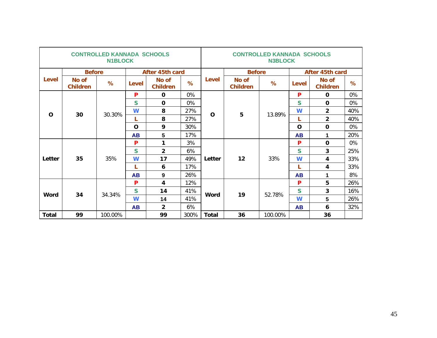|          |                          | <b>CONTROLLED KANNADA SCHOOLS</b><br><b>N1BLOCK</b> |              |                          |      |              |                          | <b>CONTROLLED KANNADA SCHOOLS</b><br><b>N3BLOCK</b> |           |                          |     |
|----------|--------------------------|-----------------------------------------------------|--------------|--------------------------|------|--------------|--------------------------|-----------------------------------------------------|-----------|--------------------------|-----|
|          | <b>Before</b>            |                                                     |              | After 45th card          |      |              | <b>Before</b>            |                                                     |           | After 45th card          |     |
| Level    | No of<br><b>Children</b> | %                                                   | <b>Level</b> | No of<br><b>Children</b> | $\%$ | <b>Level</b> | No of<br><b>Children</b> | %                                                   | Level     | No of<br><b>Children</b> | %   |
|          |                          |                                                     | P            | $\Omega$                 | 0%   |              |                          |                                                     | P         | $\mathbf 0$              | 0%  |
|          |                          |                                                     | S            | $\Omega$                 | 0%   |              |                          |                                                     | S         | $\Omega$                 | 0%  |
| $\Omega$ | 30                       | 30.30%                                              | W            | 8                        | 27%  | $\mathbf O$  | 5                        | 13.89%                                              | W         | $\overline{2}$           | 40% |
|          |                          |                                                     | L            | 8                        | 27%  |              |                          |                                                     | L         | $\overline{2}$           | 40% |
|          |                          |                                                     | $\mathbf O$  | 9                        | 30%  |              |                          |                                                     | O         | $\mathbf 0$              | 0%  |
|          |                          |                                                     | <b>AB</b>    | 5                        | 17%  |              |                          |                                                     | <b>AB</b> | 1                        | 20% |
|          |                          |                                                     | P            | 1                        | 3%   |              |                          |                                                     | P         | $\mathbf 0$              | 0%  |
|          |                          |                                                     | S            | $\overline{2}$           | 6%   |              |                          |                                                     | S         | 3                        | 25% |
| Letter   | 35                       | 35%                                                 | W            | 17                       | 49%  | Letter       | 12                       | 33%                                                 | W         | 4                        | 33% |
|          |                          |                                                     | L            | 6                        | 17%  |              |                          |                                                     | L         | $\overline{4}$           | 33% |
|          |                          |                                                     | <b>AB</b>    | 9                        | 26%  |              |                          |                                                     | <b>AB</b> | 1                        | 8%  |
|          |                          |                                                     | P            | $\overline{\mathbf{4}}$  | 12%  |              |                          |                                                     | P         | 5                        | 26% |
| Word     | 34                       | 34.34%                                              | S            | 14                       | 41%  | Word         | 19                       | 52.78%                                              | S         | 3                        | 16% |
|          |                          |                                                     | W            | 14                       | 41%  |              |                          |                                                     | W         | 5                        | 26% |
|          |                          |                                                     | <b>AB</b>    | $\overline{2}$           | 6%   |              |                          |                                                     | <b>AB</b> | 6                        | 32% |
| Total    | 99                       | 100.00%                                             |              | 99                       | 300% | <b>Total</b> | 36                       | 100.00%                                             |           | 36                       |     |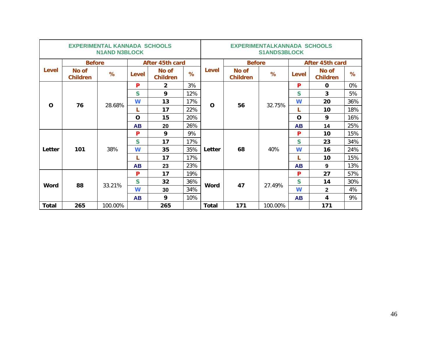|          |                          | <b>EXPERIMENTAL KANNADA SCHOOLS</b><br><b>N1AND N3BLOCK</b> |                 |                          |     | <b>EXPERIMENTALKANNADA SCHOOLS</b><br><b>S1ANDS3BLOCK</b> |                          |         |                 |                                                                           |     |
|----------|--------------------------|-------------------------------------------------------------|-----------------|--------------------------|-----|-----------------------------------------------------------|--------------------------|---------|-----------------|---------------------------------------------------------------------------|-----|
|          | <b>Before</b>            |                                                             | After 45th card |                          |     |                                                           | <b>Before</b>            |         | After 45th card |                                                                           |     |
| Level    | No of<br><b>Children</b> | %                                                           | <b>Level</b>    | No of<br><b>Children</b> | %   | Level                                                     | No of<br><b>Children</b> | %       | Level           | No of<br><b>Children</b>                                                  | %   |
|          |                          |                                                             | P               | $\mathbf{2}$             | 3%  |                                                           |                          |         | P               | $\Omega$                                                                  | 0%  |
|          |                          |                                                             | S               | 9                        | 12% |                                                           |                          |         | S               | 3                                                                         | 5%  |
| $\Omega$ | 76                       | 28.68%                                                      | W               | 13                       | 17% | O                                                         | 56                       | 32.75%  | W               | 20                                                                        | 36% |
|          |                          |                                                             | L               | 17                       | 22% |                                                           |                          |         | L               | 10                                                                        | 18% |
|          |                          |                                                             | $\Omega$        | 15                       | 20% |                                                           |                          |         | O               | 9                                                                         | 16% |
|          |                          |                                                             | <b>AB</b>       | 20                       | 26% |                                                           |                          |         | <b>AB</b>       | 14<br>10<br>23<br>16<br>10<br>9<br>27<br>14<br>$\overline{2}$<br>4<br>171 | 25% |
|          |                          |                                                             | P               | 9                        | 9%  |                                                           |                          |         | P               |                                                                           | 15% |
|          |                          |                                                             | S               | 17                       | 17% |                                                           |                          |         | S               |                                                                           | 34% |
| Letter   | 101                      | 38%                                                         | W               | 35                       | 35% | Letter                                                    | 68                       | 40%     | W               |                                                                           | 24% |
|          |                          |                                                             | L               | 17                       | 17% |                                                           |                          |         | L               |                                                                           | 15% |
|          |                          |                                                             | <b>AB</b>       | 23                       | 23% |                                                           |                          |         | <b>AB</b>       |                                                                           | 13% |
|          |                          |                                                             | P               | 17                       | 19% |                                                           |                          |         | P               |                                                                           | 57% |
| Word     | 88                       | 33.21%                                                      | S               | 32                       | 36% | Word                                                      | 47                       | 27.49%  | S               |                                                                           | 30% |
|          |                          |                                                             | W               | 30                       | 34% |                                                           |                          |         | W               |                                                                           | 4%  |
|          |                          |                                                             | <b>AB</b>       | 9                        | 10% |                                                           |                          |         | <b>AB</b>       |                                                                           | 9%  |
| Total    | 265                      | 100.00%                                                     |                 | 265                      |     | <b>Total</b>                                              | 171                      | 100.00% |                 |                                                                           |     |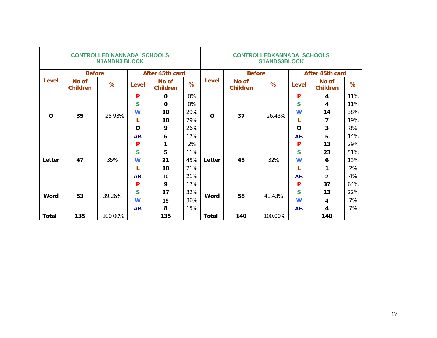|              |                          | <b>CONTROLLED KANNADA SCHOOLS</b><br><b>N1ANDN3 BLOCK</b> |                 |                          |     | <b>CONTROLLEDKANNADA SCHOOLS</b><br><b>S1ANDS3BLOCK</b> |                          |                 |                |                                                                                              |     |
|--------------|--------------------------|-----------------------------------------------------------|-----------------|--------------------------|-----|---------------------------------------------------------|--------------------------|-----------------|----------------|----------------------------------------------------------------------------------------------|-----|
|              | <b>Before</b>            |                                                           | After 45th card |                          |     |                                                         | <b>Before</b>            | After 45th card |                |                                                                                              |     |
| <b>Level</b> | No of<br><b>Children</b> | %                                                         | Level           | No of<br><b>Children</b> | %   | Level                                                   | No of<br><b>Children</b> | %               | Level          | No of<br><b>Children</b>                                                                     | %   |
|              |                          |                                                           | P               | $\mathbf 0$              | 0%  |                                                         |                          |                 | P              | 4                                                                                            | 11% |
|              |                          |                                                           | S               | $\mathbf 0$              | 0%  |                                                         |                          |                 | S              | 4                                                                                            | 11% |
| $\Omega$     | 35                       | 25.93%                                                    | W               | 10                       | 29% | $\mathbf O$                                             | 37                       | 26.43%          | W              | 14                                                                                           | 38% |
|              |                          |                                                           |                 | 10                       | 29% |                                                         |                          | L               | $\overline{7}$ | 19%                                                                                          |     |
|              |                          |                                                           | $\Omega$        | 9                        | 26% |                                                         |                          |                 | O              | $\overline{3}$                                                                               | 8%  |
|              |                          |                                                           | <b>AB</b>       | 6                        | 17% |                                                         |                          |                 | <b>AB</b>      | $5\phantom{1}$<br>13<br>23<br>6<br>1<br>$\overline{\mathbf{2}}$<br>37<br>13<br>4<br>4<br>140 | 14% |
|              |                          |                                                           | P               | 1                        | 2%  |                                                         |                          |                 | P              |                                                                                              | 29% |
|              |                          |                                                           | S               | 5                        | 11% |                                                         |                          |                 | S              |                                                                                              | 51% |
| Letter       | 47                       | 35%                                                       | W               | 21                       | 45% | Letter                                                  | 45                       | 32%             | W              |                                                                                              | 13% |
|              |                          |                                                           |                 | 10                       | 21% |                                                         |                          |                 | L              |                                                                                              | 2%  |
|              |                          |                                                           | <b>AB</b>       | 10                       | 21% |                                                         |                          |                 | <b>AB</b>      |                                                                                              | 4%  |
|              |                          |                                                           | P               | 9                        | 17% |                                                         |                          |                 | P              |                                                                                              | 64% |
| Word         | 53                       | 39.26%                                                    | S               | 17                       | 32% | <b>Word</b>                                             | 58                       | 41.43%          | S              |                                                                                              | 22% |
|              |                          |                                                           | W               | 19                       | 36% |                                                         |                          |                 | W              |                                                                                              | 7%  |
|              |                          |                                                           | <b>AB</b>       | 8                        | 15% |                                                         |                          |                 | <b>AB</b>      |                                                                                              | 7%  |
| Total        | 135                      | 100.00%                                                   |                 | 135                      |     | Total                                                   | 140                      | 100.00%         |                |                                                                                              |     |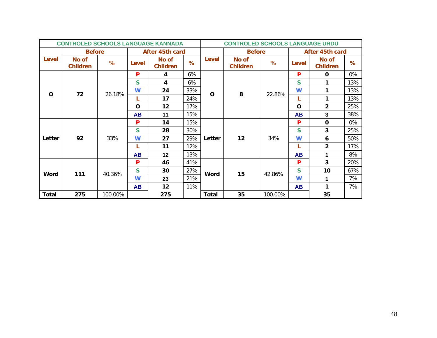|              | <b>CONTROLED SCHOOLS LANGUAGE KANNADA</b> |         |                |                          |     |              | <b>CONTROLED SCHOOLS LANGUAGE URDU</b> |                 |           |                          |                |     |
|--------------|-------------------------------------------|---------|----------------|--------------------------|-----|--------------|----------------------------------------|-----------------|-----------|--------------------------|----------------|-----|
|              | <b>Before</b>                             |         |                | After 45th card          |     |              | <b>Before</b>                          | After 45th card |           |                          |                |     |
| Level        | No of<br><b>Children</b>                  | %       | Level          | No of<br><b>Children</b> | %   | Level        | No of<br><b>Children</b>               | ℅               | Level     | No of<br><b>Children</b> | $\%$           |     |
|              |                                           |         | P              | 4                        | 6%  |              |                                        |                 | P         | $\mathbf{O}$             | 0%             |     |
|              |                                           |         | S              | 4                        | 6%  |              |                                        |                 | S         | 1                        | 13%            |     |
| $\mathbf{o}$ | 72                                        | 26.18%  | W              | 24                       | 33% | $\mathbf O$  | 8                                      | 22.86%          | W         | 1                        | 13%            |     |
|              |                                           |         |                | 17                       | 24% |              |                                        |                 | L         | 1                        | 13%            |     |
|              |                                           |         | $\mathbf{O}$   | 12                       | 17% |              |                                        |                 |           | O                        | $\overline{2}$ | 25% |
|              |                                           |         | <b>AB</b>      | 11                       | 15% |              |                                        |                 | <b>AB</b> | 3                        | 38%            |     |
|              |                                           |         | 15%<br>P<br>14 |                          |     | P            | $\mathbf 0$                            | 0%              |           |                          |                |     |
|              |                                           |         | S              | 28                       | 30% |              | 12<br>34%                              | S               | 3         | 25%                      |                |     |
| Letter       | 92                                        | 33%     | W              | 27                       | 29% | Letter       |                                        |                 | W         | 6                        | 50%            |     |
|              |                                           |         |                | 11                       | 12% |              |                                        |                 | L         | $\overline{2}$           | 17%            |     |
|              |                                           |         | <b>AB</b>      | 12                       | 13% |              |                                        |                 | <b>AB</b> | 1                        | 8%             |     |
|              |                                           |         | P              | 46                       | 41% |              |                                        |                 | P         | $\overline{3}$           | 20%            |     |
| Word         | 111                                       | 40.36%  | $\mathbf S$    | 30                       | 27% | <b>Word</b>  | 15                                     | 42.86%          | S         | 10                       | 67%            |     |
|              |                                           |         | W              | 23                       | 21% |              |                                        |                 | W         | 1                        | 7%             |     |
|              |                                           |         | <b>AB</b>      | 12                       | 11% |              |                                        |                 | <b>AB</b> | 1                        | 7%             |     |
| <b>Total</b> | 275                                       | 100.00% |                | 275                      |     | <b>Total</b> | 35                                     | 100.00%         |           | 35                       |                |     |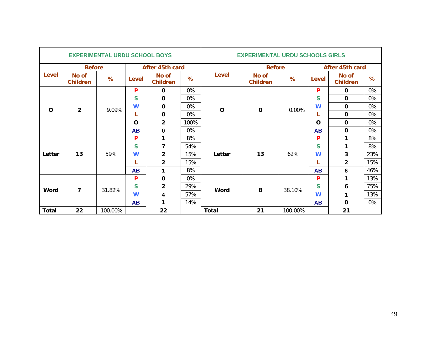|          |                          | <b>EXPERIMENTAL URDU SCHOOL BOYS</b> |                 |                          |      |              | <b>EXPERIMENTAL URDU SCHOOLS GIRLS</b> |         |                         |                          |          |    |
|----------|--------------------------|--------------------------------------|-----------------|--------------------------|------|--------------|----------------------------------------|---------|-------------------------|--------------------------|----------|----|
|          | <b>Before</b>            |                                      | After 45th card |                          |      |              | <b>Before</b>                          |         | After 45th card         |                          |          |    |
| Level    | No of<br><b>Children</b> | %                                    | Level           | No of<br><b>Children</b> | %    | Level        | No of<br><b>Children</b>               | %       | Level                   | No of<br><b>Children</b> | %        |    |
|          |                          |                                      | P               | 0                        | 0%   |              |                                        |         | P                       | $\mathbf 0$              | 0%       |    |
|          |                          |                                      | $\mathsf{S}$    | $\mathbf 0$              | 0%   |              |                                        |         | $\mathsf{S}$            | $\mathbf 0$              | 0%       |    |
| $\Omega$ | $\overline{2}$           | 9.09%                                | W               | $\mathbf 0$              | 0%   | $\mathbf 0$  | $\mathbf 0$                            | 0.00%   | W                       | $\mathbf 0$              | 0%       |    |
|          |                          |                                      |                 | $\mathbf 0$              | 0%   |              |                                        |         |                         | L                        | $\Omega$ | 0% |
|          |                          |                                      | $\mathbf 0$     | $\overline{2}$           | 100% |              |                                        |         | $\Omega$                | $\mathbf 0$              | 0%       |    |
|          |                          |                                      | <b>AB</b>       | $\bf{0}$                 | 0%   |              |                                        |         | <b>AB</b>               | $\mathbf 0$              | 0%       |    |
|          |                          |                                      | P               | 1                        | 8%   |              |                                        |         | P                       | 1                        | 8%       |    |
|          |                          |                                      | S               | 7                        | 54%  |              |                                        |         | S                       | 1                        | 8%       |    |
| Letter   | 13                       | 59%                                  | W               | $\overline{2}$           | 15%  | Letter       | 13                                     | 62%     | W                       | 3                        | 23%      |    |
|          |                          |                                      | L               | $\overline{2}$           | 15%  |              |                                        |         | L                       | $\overline{2}$           | 15%      |    |
|          |                          |                                      | <b>AB</b>       | 1                        | 8%   |              |                                        |         | <b>AB</b>               | 6                        | 46%      |    |
|          |                          |                                      | P               | $\mathbf 0$              | 0%   |              |                                        |         | P                       | 1                        | 13%      |    |
| Word     | $\overline{7}$           | 31.82%                               | $\mathsf{S}$    | $\overline{2}$           | 29%  | <b>Word</b>  | 8                                      | 38.10%  | $\overline{\mathsf{S}}$ | 6                        | 75%      |    |
|          |                          |                                      | W               | 4                        | 57%  |              |                                        |         | W                       | 1                        | 13%      |    |
|          |                          |                                      | <b>AB</b>       | 1                        | 14%  |              |                                        |         | <b>AB</b>               | $\mathbf 0$              | 0%       |    |
| Total    | 22                       | 100.00%                              |                 | 22                       |      | <b>Total</b> | 21                                     | 100.00% |                         | 21                       |          |    |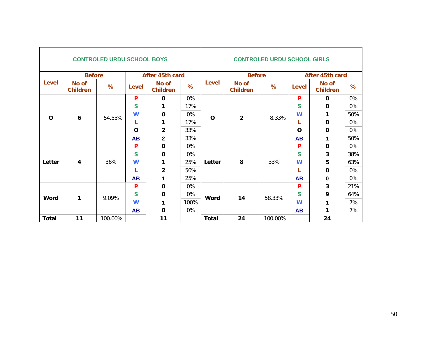|              |                          | <b>CONTROLED URDU SCHOOL BOYS</b> |                 |                          |      | <b>CONTROLED URDU SCHOOL GIRLS</b> |                                        |             |                 |                          |     |  |
|--------------|--------------------------|-----------------------------------|-----------------|--------------------------|------|------------------------------------|----------------------------------------|-------------|-----------------|--------------------------|-----|--|
|              | <b>Before</b>            |                                   | After 45th card |                          |      |                                    | <b>Before</b>                          |             | After 45th card |                          |     |  |
| Level        | No of<br><b>Children</b> | %                                 | <b>Level</b>    | No of<br><b>Children</b> | %    | <b>Level</b>                       | No of<br><b>Children</b>               | %           | Level           | No of<br><b>Children</b> | %   |  |
|              |                          |                                   | P               | $\mathbf 0$              | 0%   |                                    |                                        |             | P               | $\mathbf 0$              | 0%  |  |
|              |                          |                                   | S               | 1                        | 17%  |                                    |                                        |             | S               | $\mathbf 0$              | 0%  |  |
| $\mathbf 0$  | 6                        | 54.55%                            | W               | 0                        | 0%   |                                    | $\overline{2}$<br>8.33%<br>$\mathbf 0$ | W           | 1               | 50%                      |     |  |
|              |                          |                                   | L               | $\mathbf{1}$             | 17%  |                                    |                                        |             | L               | $\mathbf 0$              | 0%  |  |
|              |                          |                                   | $\mathbf 0$     | $\overline{2}$           | 33%  |                                    |                                        | $\mathbf 0$ | $\mathbf 0$     | 0%                       |     |  |
|              |                          |                                   | <b>AB</b>       | $\overline{2}$           | 33%  |                                    |                                        |             | <b>AB</b>       | 1<br>$\mathbf 0$         | 50% |  |
|              |                          |                                   | P               | $\mathbf 0$              | 0%   |                                    |                                        |             | P               |                          | 0%  |  |
|              |                          |                                   | S               | $\mathbf 0$              | 0%   |                                    |                                        |             | S               | 3                        | 38% |  |
| Letter       | $\overline{\mathbf{4}}$  | 36%                               | W               | 1                        | 25%  | Letter                             | 8                                      | 33%         | W               | 5                        | 63% |  |
|              |                          |                                   | L               | $\overline{2}$           | 50%  |                                    |                                        |             | L               | $\mathbf 0$              | 0%  |  |
|              |                          |                                   | <b>AB</b>       | 1                        | 25%  |                                    |                                        |             | <b>AB</b>       | $\mathbf 0$              | 0%  |  |
|              |                          |                                   | P               | $\mathbf 0$              | 0%   |                                    |                                        |             | P               | $\overline{\mathbf{3}}$  | 21% |  |
| Word         | 1                        | 9.09%                             | S               | $\mathbf 0$              | 0%   | Word                               | 14                                     | 58.33%      | S               | 9                        | 64% |  |
|              |                          |                                   | W               | 1                        | 100% |                                    |                                        |             | W               | 1                        | 7%  |  |
|              |                          |                                   | <b>AB</b>       | $\mathbf 0$              | 0%   |                                    |                                        |             | <b>AB</b>       | 1                        | 7%  |  |
| <b>Total</b> | 11                       | 100.00%                           |                 | 11                       |      | <b>Total</b>                       | 24                                     | 100.00%     |                 | 24                       |     |  |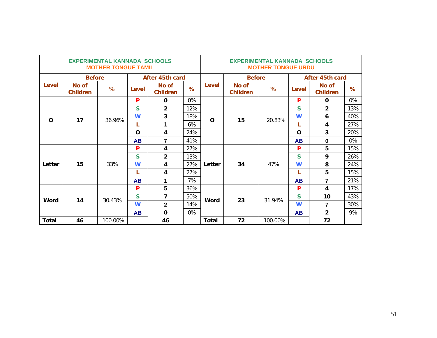|              |                          | <b>EXPERIMENTAL KANNADA SCHOOLS</b><br><b>MOTHER TONGUE TAMIL</b> |                 |                          |     | <b>EXPERIMENTAL KANNADA SCHOOLS</b><br><b>MOTHER TONGUE URDU</b> |                          |         |                 |                                                                                                  |      |  |
|--------------|--------------------------|-------------------------------------------------------------------|-----------------|--------------------------|-----|------------------------------------------------------------------|--------------------------|---------|-----------------|--------------------------------------------------------------------------------------------------|------|--|
|              | <b>Before</b>            |                                                                   | After 45th card |                          |     |                                                                  | <b>Before</b>            |         | After 45th card |                                                                                                  |      |  |
| Level        | No of<br><b>Children</b> | %                                                                 | <b>Level</b>    | No of<br><b>Children</b> | %   | Level                                                            | No of<br><b>Children</b> | %       | Level           | No of<br><b>Children</b>                                                                         | $\%$ |  |
|              |                          |                                                                   | P               | $\mathbf 0$              | 0%  |                                                                  |                          |         | P               | $\mathbf 0$                                                                                      | 0%   |  |
|              |                          |                                                                   | S               | $\overline{2}$           | 12% |                                                                  |                          |         | S               | $\overline{2}$                                                                                   | 13%  |  |
| $\Omega$     | 17                       | 36.96%                                                            | W               | 3                        | 18% | $\Omega$                                                         | 15                       | 20.83%  | W               | 6                                                                                                | 40%  |  |
|              |                          |                                                                   | L               | 1                        | 6%  |                                                                  |                          |         | L               | 4                                                                                                | 27%  |  |
|              |                          |                                                                   | $\Omega$        | 4                        | 24% |                                                                  |                          |         | O               | $\overline{3}$                                                                                   | 20%  |  |
|              |                          |                                                                   | <b>AB</b>       | $\overline{7}$           | 41% |                                                                  |                          |         | <b>AB</b>       | $\mathbf 0$<br>5<br>9<br>8<br>5<br>$\overline{7}$<br>4<br>10<br>$\overline{7}$<br>$\overline{2}$ | 0%   |  |
|              |                          |                                                                   | P               | 4                        | 27% |                                                                  |                          |         | P               |                                                                                                  | 15%  |  |
|              |                          |                                                                   | $\mathsf{s}$    | $\overline{2}$           | 13% |                                                                  |                          |         | S               |                                                                                                  | 26%  |  |
| Letter       | 15                       | 33%                                                               | W               | 4                        | 27% | Letter                                                           | 34                       | 47%     | W               |                                                                                                  | 24%  |  |
|              |                          |                                                                   | L               | 4                        | 27% |                                                                  |                          |         | L               |                                                                                                  | 15%  |  |
|              |                          |                                                                   | <b>AB</b>       | 1                        | 7%  |                                                                  |                          |         | <b>AB</b>       |                                                                                                  | 21%  |  |
|              |                          |                                                                   | P               | 5                        | 36% |                                                                  |                          |         | P               |                                                                                                  | 17%  |  |
| Word         | 14                       | 30.43%                                                            | S               | $\overline{7}$           | 50% | Word                                                             | 23                       | 31.94%  | $\mathbf S$     |                                                                                                  | 43%  |  |
|              |                          |                                                                   | W               | $\overline{2}$           | 14% |                                                                  |                          |         | W               |                                                                                                  | 30%  |  |
|              |                          |                                                                   | <b>AB</b>       | $\Omega$                 | 0%  |                                                                  |                          |         | <b>AB</b>       |                                                                                                  | 9%   |  |
| <b>Total</b> | 46                       | 100.00%                                                           |                 | 46                       |     | <b>Total</b>                                                     | 72                       | 100.00% |                 | 72                                                                                               |      |  |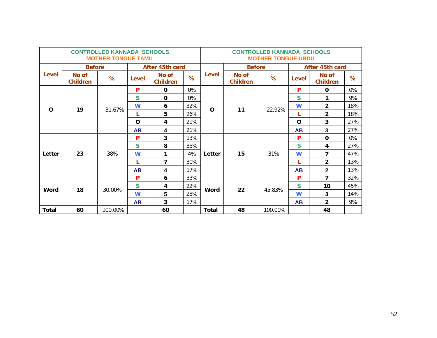|              |                          | <b>CONTROLLED KANNADA SCHOOLS</b><br><b>MOTHER TONGUE TAMIL</b> |                 |                           |     | <b>CONTROLLED KANNADA SCHOOLS</b><br><b>MOTHER TONGUE URDU</b> |                          |         |                 |                          |     |
|--------------|--------------------------|-----------------------------------------------------------------|-----------------|---------------------------|-----|----------------------------------------------------------------|--------------------------|---------|-----------------|--------------------------|-----|
|              | <b>Before</b>            |                                                                 | After 45th card |                           |     |                                                                | <b>Before</b>            |         | After 45th card |                          |     |
| Level        | No of<br><b>Children</b> | %                                                               | Level           | No of<br><b>Children</b>  | %   | <b>Level</b>                                                   | No of<br><b>Children</b> | %       | Level           | No of<br><b>Children</b> | %   |
|              |                          |                                                                 | P               | $\mathbf 0$               | 0%  |                                                                |                          |         | P               | $\mathbf 0$              | 0%  |
|              |                          |                                                                 | $\mathbf S$     | $\Omega$                  | 0%  |                                                                |                          |         | S               | 1                        | 9%  |
| $\Omega$     | 19                       | 31.67%                                                          | W               | 6                         | 32% | O                                                              | 11                       | 22.92%  | W               | $\overline{2}$           | 18% |
|              |                          |                                                                 | L               | 5                         | 26% |                                                                |                          |         | L               | $\overline{2}$           | 18% |
|              |                          |                                                                 | $\Omega$        | 21%<br>3<br>4<br>$\Omega$ |     | 27%                                                            |                          |         |                 |                          |     |
|              |                          |                                                                 | <b>AB</b>       | 4                         | 21% |                                                                |                          |         | <b>AB</b>       | 3<br>$\mathbf 0$         | 27% |
|              |                          |                                                                 | P               | 3                         | 13% |                                                                |                          |         | P               |                          | 0%  |
|              |                          |                                                                 | $\mathsf{s}$    | 8                         | 35% |                                                                |                          |         | S               | 4                        | 27% |
| Letter       | 23                       | 38%                                                             | W               | 1                         | 4%  | Letter                                                         | 15                       | 31%     | W               | $\overline{7}$           | 47% |
|              |                          |                                                                 | L               | 7                         | 30% |                                                                |                          |         | L               | $\overline{2}$           | 13% |
|              |                          |                                                                 | <b>AB</b>       | 4                         | 17% |                                                                |                          |         | <b>AB</b>       | $\mathbf{2}$             | 13% |
|              |                          |                                                                 | P               | 6                         | 33% |                                                                |                          |         | P               | $\overline{7}$           | 32% |
| Word         | 18                       | 30.00%                                                          | S               | 4                         | 22% | Word                                                           | 22                       | 45.83%  | S               | 10                       | 45% |
|              |                          |                                                                 | W               | 5                         | 28% |                                                                |                          |         | W               | $\mathbf{3}$             | 14% |
|              |                          |                                                                 | <b>AB</b>       | $\overline{3}$            | 17% |                                                                |                          |         | <b>AB</b>       | $\overline{2}$           | 9%  |
| <b>Total</b> | 60                       | 100.00%                                                         |                 | 60                        |     | <b>Total</b>                                                   | 48                       | 100.00% |                 | 48                       |     |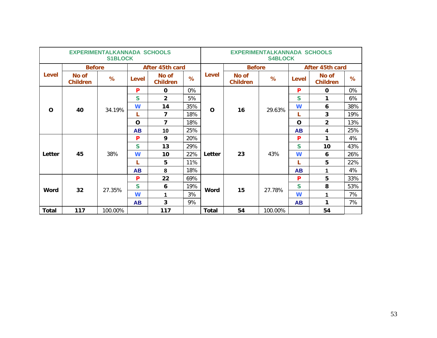|              |                          | <b>EXPERIMENTALKANNADA SCHOOLS</b><br><b>S1BLOCK</b> |                 |                          |     | <b>EXPERIMENTALKANNADA SCHOOLS</b><br><b>S4BLOCK</b> |                          |                                                                                  |                 |                          |     |     |
|--------------|--------------------------|------------------------------------------------------|-----------------|--------------------------|-----|------------------------------------------------------|--------------------------|----------------------------------------------------------------------------------|-----------------|--------------------------|-----|-----|
|              | <b>Before</b>            |                                                      | After 45th card |                          |     |                                                      | <b>Before</b>            |                                                                                  | After 45th card |                          |     |     |
| Level        | No of<br><b>Children</b> | %                                                    | Level           | No of<br><b>Children</b> | %   | <b>Level</b>                                         | No of<br><b>Children</b> | %                                                                                | <b>Level</b>    | No of<br><b>Children</b> | %   |     |
|              |                          |                                                      | P               | $\mathbf 0$              | 0%  |                                                      |                          |                                                                                  | P               | $\mathbf 0$              | 0%  |     |
|              |                          |                                                      | S               | $\overline{2}$           | 5%  |                                                      |                          | S<br>1<br>W<br>6<br>16<br>29.63%<br>3<br>L<br>$\overline{2}$<br>$\mathbf O$<br>4 |                 |                          | 6%  |     |
| $\Omega$     |                          | 34.19%                                               | W               | 14                       | 35% | O                                                    |                          |                                                                                  |                 |                          |     | 38% |
|              | 40                       |                                                      | L               | 7                        | 18% |                                                      |                          |                                                                                  |                 |                          | 19% |     |
|              |                          |                                                      | $\Omega$        | $\overline{7}$           | 18% |                                                      |                          |                                                                                  | 13%             |                          |     |     |
|              |                          |                                                      | <b>AB</b>       | 10                       | 25% |                                                      |                          |                                                                                  | <b>AB</b>       | 1<br>10<br>6<br>5        | 25% |     |
|              |                          |                                                      | P               | 9                        | 20% |                                                      |                          |                                                                                  | P               |                          | 4%  |     |
|              |                          |                                                      | S               | 13                       | 29% |                                                      |                          |                                                                                  | S               |                          | 43% |     |
| Letter       | 45                       | 38%                                                  | W               | 10                       | 22% | Letter                                               | 23                       | 43%                                                                              | W               |                          | 26% |     |
|              |                          |                                                      | L               | 5                        | 11% |                                                      |                          |                                                                                  | L               |                          | 22% |     |
|              |                          |                                                      | <b>AB</b>       | 8                        | 18% |                                                      |                          |                                                                                  | <b>AB</b>       | 1                        | 4%  |     |
|              |                          |                                                      | P               | 22                       | 69% |                                                      |                          |                                                                                  | P               | 5                        | 33% |     |
| Word         | 32                       | 27.35%                                               | S               | 6                        | 19% | Word                                                 | 15                       | 27.78%                                                                           | S               | 8                        | 53% |     |
|              |                          |                                                      | W               | 1                        | 3%  |                                                      |                          |                                                                                  | W               | 1                        | 7%  |     |
|              |                          |                                                      | <b>AB</b>       | 3                        | 9%  |                                                      |                          |                                                                                  | <b>AB</b>       | 1                        | 7%  |     |
| <b>Total</b> | 117                      | 100.00%                                              |                 | 117                      |     | <b>Total</b>                                         | 54                       | 100.00%                                                                          |                 | 54                       |     |     |